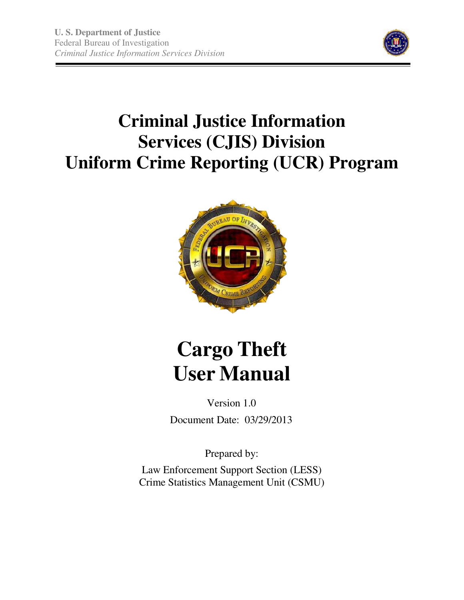

# **Criminal Justice Information Services (CJIS) Division Uniform Crime Reporting (UCR) Program**



# **Cargo Theft User Manual**

Version 1.0 Document Date: 03/29/2013

Prepared by:

Law Enforcement Support Section (LESS) Crime Statistics Management Unit (CSMU)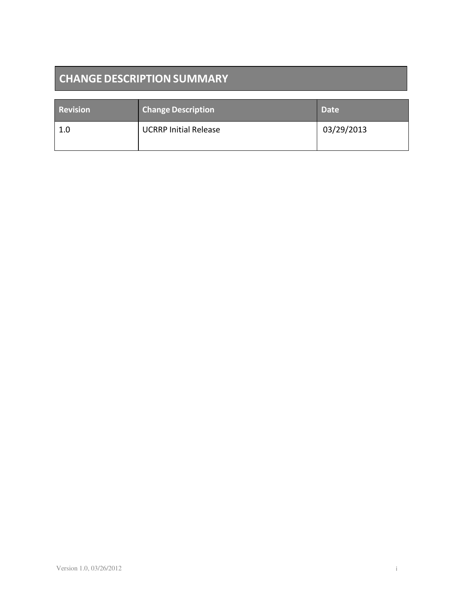# **CHANGE DESCRIPTION SUMMARY**

| <b>Revision</b> | <b>Change Description</b>    | <b>Date</b> |
|-----------------|------------------------------|-------------|
| 1.0             | <b>UCRRP Initial Release</b> | 03/29/2013  |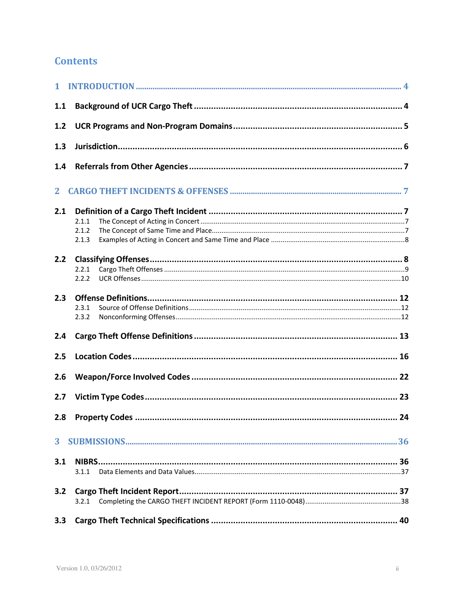# **Contents**

| 1.1          |                         |    |
|--------------|-------------------------|----|
| 1.2          |                         |    |
| 1.3          |                         |    |
| 1.4          |                         |    |
| $\mathbf{2}$ |                         |    |
| 2.1          | 2.1.1<br>2.1.2<br>2.1.3 |    |
| 2.2          | 2.2.1<br>2.2.2          |    |
| 2.3          | 2.3.1<br>2.3.2          |    |
| 2.4          |                         |    |
| 2.5          |                         |    |
| 2.6          |                         |    |
| 2.7          |                         |    |
| 2.8          | <b>Property Codes.</b>  | 24 |
|              |                         |    |
| 3.1          | 3.1.1                   |    |
| 3.2          |                         |    |
| 3.3          |                         |    |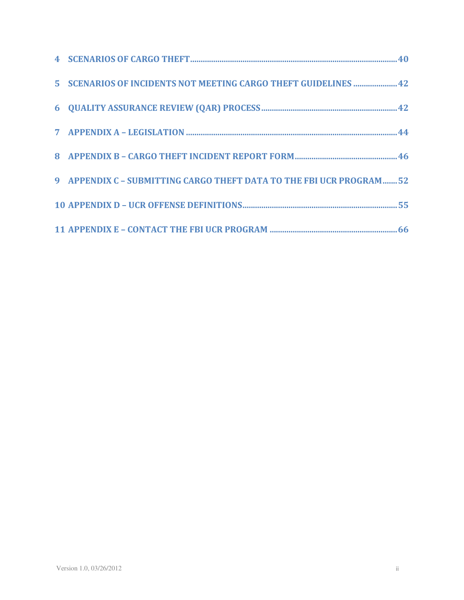| 5 SCENARIOS OF INCIDENTS NOT MEETING CARGO THEFT GUIDELINES  42     |  |
|---------------------------------------------------------------------|--|
|                                                                     |  |
|                                                                     |  |
|                                                                     |  |
| 9 APPENDIX C - SUBMITTING CARGO THEFT DATA TO THE FBI UCR PROGRAM52 |  |
|                                                                     |  |
|                                                                     |  |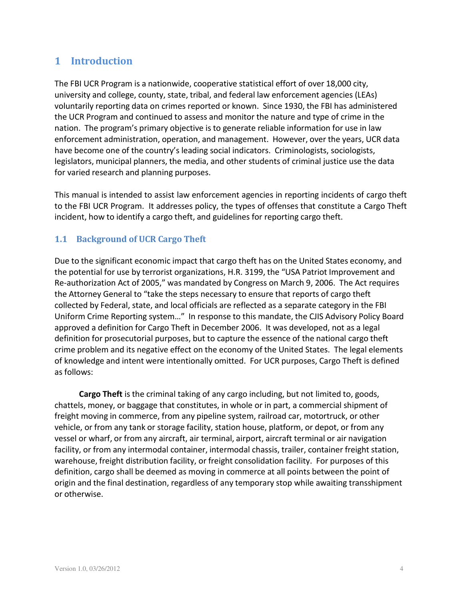# **1 Introduction**

The FBI UCR Program is a nationwide, cooperative statistical effort of over 18,000 city, university and college, county, state, tribal, and federal law enforcement agencies (LEAs) voluntarily reporting data on crimes reported or known. Since 1930, the FBI has administered the UCR Program and continued to assess and monitor the nature and type of crime in the nation. The program's primary objective is to generate reliable information for use in law enforcement administration, operation, and management. However, over the years, UCR data have become one of the country's leading social indicators. Criminologists, sociologists, legislators, municipal planners, the media, and other students of criminal justice use the data for varied research and planning purposes.

This manual is intended to assist law enforcement agencies in reporting incidents of cargo theft to the FBI UCR Program. It addresses policy, the types of offenses that constitute a Cargo Theft incident, how to identify a cargo theft, and guidelines for reporting cargo theft.

# **1.1 Background of UCR Cargo Theft**

Due to the significant economic impact that cargo theft has on the United States economy, and the potential for use by terrorist organizations, H.R. 3199, the "USA Patriot Improvement and Re-authorization Act of 2005," was mandated by Congress on March 9, 2006. The Act requires the Attorney General to "take the steps necessary to ensure that reports of cargo theft collected by Federal, state, and local officials are reflected as a separate category in the FBI Uniform Crime Reporting system…" In response to this mandate, the CJIS Advisory Policy Board approved a definition for Cargo Theft in December 2006. It was developed, not as a legal definition for prosecutorial purposes, but to capture the essence of the national cargo theft crime problem and its negative effect on the economy of the United States. The legal elements of knowledge and intent were intentionally omitted. For UCR purposes, Cargo Theft is defined as follows:

**Cargo Theft** is the criminal taking of any cargo including, but not limited to, goods, chattels, money, or baggage that constitutes, in whole or in part, a commercial shipment of freight moving in commerce, from any pipeline system, railroad car, motortruck, or other vehicle, or from any tank or storage facility, station house, platform, or depot, or from any vessel or wharf, or from any aircraft, air terminal, airport, aircraft terminal or air navigation facility, or from any intermodal container, intermodal chassis, trailer, container freight station, warehouse, freight distribution facility, or freight consolidation facility. For purposes of this definition, cargo shall be deemed as moving in commerce at all points between the point of origin and the final destination, regardless of any temporary stop while awaiting transshipment or otherwise.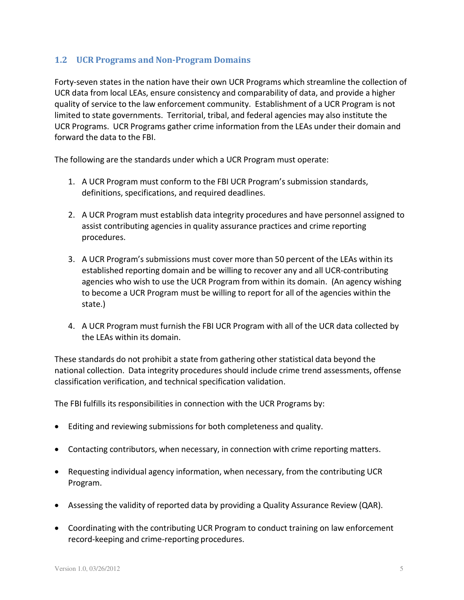# **1.2 UCR Programs and Non-Program Domains**

Forty-seven states in the nation have their own UCR Programs which streamline the collection of UCR data from local LEAs, ensure consistency and comparability of data, and provide a higher quality of service to the law enforcement community. Establishment of a UCR Program is not limited to state governments. Territorial, tribal, and federal agencies may also institute the UCR Programs. UCR Programs gather crime information from the LEAs under their domain and forward the data to the FBI.

The following are the standards under which a UCR Program must operate:

- 1. A UCR Program must conform to the FBI UCR Program's submission standards, definitions, specifications, and required deadlines.
- 2. A UCR Program must establish data integrity procedures and have personnel assigned to assist contributing agencies in quality assurance practices and crime reporting procedures.
- 3. A UCR Program's submissions must cover more than 50 percent of the LEAs within its established reporting domain and be willing to recover any and all UCR-contributing agencies who wish to use the UCR Program from within its domain. (An agency wishing to become a UCR Program must be willing to report for all of the agencies within the state.)
- 4. A UCR Program must furnish the FBI UCR Program with all of the UCR data collected by the LEAs within its domain.

These standards do not prohibit a state from gathering other statistical data beyond the national collection. Data integrity procedures should include crime trend assessments, offense classification verification, and technical specification validation.

The FBI fulfills its responsibilities in connection with the UCR Programs by:

- Editing and reviewing submissions for both completeness and quality.
- Contacting contributors, when necessary, in connection with crime reporting matters.
- Requesting individual agency information, when necessary, from the contributing UCR Program.
- Assessing the validity of reported data by providing a Quality Assurance Review (QAR).
- Coordinating with the contributing UCR Program to conduct training on law enforcement record-keeping and crime-reporting procedures.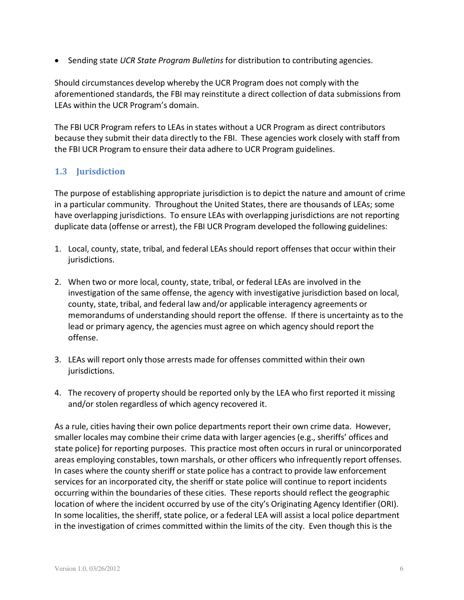• Sending state *UCR State Program Bulletins* for distribution to contributing agencies.

Should circumstances develop whereby the UCR Program does not comply with the aforementioned standards, the FBI may reinstitute a direct collection of data submissions from LEAs within the UCR Program's domain.

The FBI UCR Program refers to LEAs in states without a UCR Program as direct contributors because they submit their data directly to the FBI. These agencies work closely with staff from the FBI UCR Program to ensure their data adhere to UCR Program guidelines.

# **1.3 Jurisdiction**

The purpose of establishing appropriate jurisdiction is to depict the nature and amount of crime in a particular community. Throughout the United States, there are thousands of LEAs; some have overlapping jurisdictions. To ensure LEAs with overlapping jurisdictions are not reporting duplicate data (offense or arrest), the FBI UCR Program developed the following guidelines:

- 1. Local, county, state, tribal, and federal LEAs should report offenses that occur within their jurisdictions.
- 2. When two or more local, county, state, tribal, or federal LEAs are involved in the investigation of the same offense, the agency with investigative jurisdiction based on local, county, state, tribal, and federal law and/or applicable interagency agreements or memorandums of understanding should report the offense. If there is uncertainty as to the lead or primary agency, the agencies must agree on which agency should report the offense.
- 3. LEAs will report only those arrests made for offenses committed within their own jurisdictions.
- 4. The recovery of property should be reported only by the LEA who first reported it missing and/or stolen regardless of which agency recovered it.

As a rule, cities having their own police departments report their own crime data. However, smaller locales may combine their crime data with larger agencies (e.g., sheriffs' offices and state police) for reporting purposes. This practice most often occurs in rural or unincorporated areas employing constables, town marshals, or other officers who infrequently report offenses. In cases where the county sheriff or state police has a contract to provide law enforcement services for an incorporated city, the sheriff or state police will continue to report incidents occurring within the boundaries of these cities. These reports should reflect the geographic location of where the incident occurred by use of the city's Originating Agency Identifier (ORI). In some localities, the sheriff, state police, or a federal LEA will assist a local police department in the investigation of crimes committed within the limits of the city. Even though this is the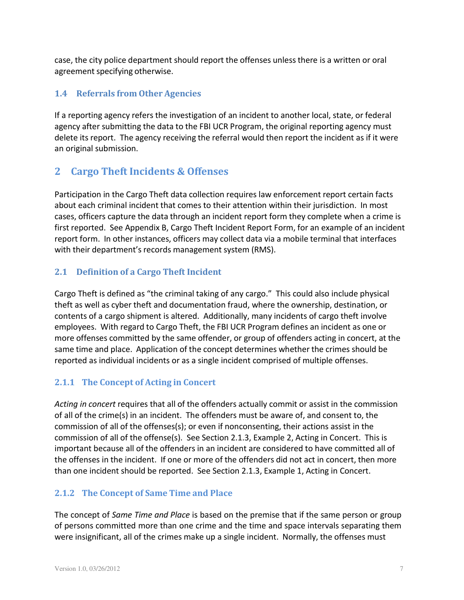case, the city police department should report the offenses unlessthere is a written or oral agreement specifying otherwise.

# **1.4 Referrals from Other Agencies**

If a reporting agency refers the investigation of an incident to another local, state, or federal agency after submitting the data to the FBI UCR Program, the original reporting agency must delete its report. The agency receiving the referral would then report the incident as if it were an original submission.

# **2 Cargo Theft Incidents & Offenses**

Participation in the Cargo Theft data collection requires law enforcement report certain facts about each criminal incident that comes to their attention within their jurisdiction. In most cases, officers capture the data through an incident report form they complete when a crime is first reported. See Appendix B, Cargo Theft Incident Report Form, for an example of an incident report form. In other instances, officers may collect data via a mobile terminal that interfaces with their department's records management system (RMS).

# **2.1 Definition of a Cargo Theft Incident**

Cargo Theft is defined as "the criminal taking of any cargo." This could also include physical theft as well as cyber theft and documentation fraud, where the ownership, destination, or contents of a cargo shipment is altered. Additionally, many incidents of cargo theft involve employees. With regard to Cargo Theft, the FBI UCR Program defines an incident as one or more offenses committed by the same offender, or group of offenders acting in concert, at the same time and place. Application of the concept determines whether the crimes should be reported as individual incidents or as a single incident comprised of multiple offenses.

# **2.1.1 The Concept of Acting in Concert**

*Acting in concert* requires that all of the offenders actually commit or assist in the commission of all of the crime(s) in an incident. The offenders must be aware of, and consent to, the commission of all of the offenses(s); or even if nonconsenting, their actions assist in the commission of all of the offense(s). See Section 2.1.3, Example 2, Acting in Concert. This is important because all of the offenders in an incident are considered to have committed all of the offenses in the incident. If one or more of the offenders did not act in concert, then more than one incident should be reported. See Section 2.1.3, Example 1, Acting in Concert.

# **2.1.2 The Concept of Same Time and Place**

The concept of *Same Time and Place* is based on the premise that if the same person or group of persons committed more than one crime and the time and space intervals separating them were insignificant, all of the crimes make up a single incident. Normally, the offenses must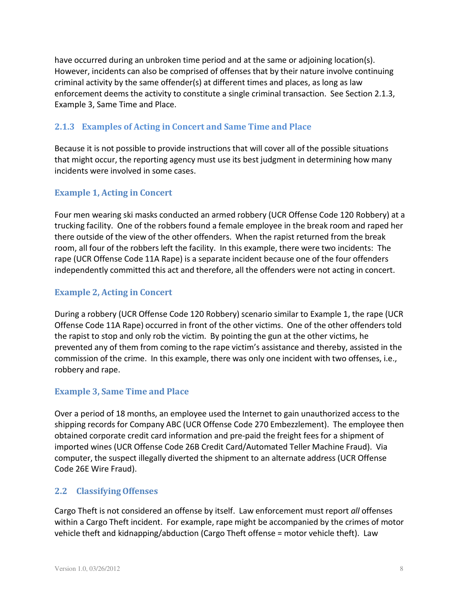have occurred during an unbroken time period and at the same or adjoining location(s). However, incidents can also be comprised of offenses that by their nature involve continuing criminal activity by the same offender(s) at different times and places, as long as law enforcement deems the activity to constitute a single criminal transaction. See Section 2.1.3, Example 3, Same Time and Place.

# **2.1.3 Examples of Acting in Concert and Same Time and Place**

Because it is not possible to provide instructions that will cover all of the possible situations that might occur, the reporting agency must use its best judgment in determining how many incidents were involved in some cases.

# **Example 1, Acting in Concert**

Four men wearing ski masks conducted an armed robbery (UCR Offense Code 120 Robbery) at a trucking facility. One of the robbers found a female employee in the break room and raped her there outside of the view of the other offenders. When the rapist returned from the break room, all four of the robbers left the facility. In this example, there were two incidents: The rape (UCR Offense Code 11A Rape) is a separate incident because one of the four offenders independently committed this act and therefore, all the offenders were not acting in concert.

# **Example 2, Acting in Concert**

During a robbery (UCR Offense Code 120 Robbery) scenario similar to Example 1, the rape (UCR Offense Code 11A Rape) occurred in front of the other victims. One of the other offenders told the rapist to stop and only rob the victim. By pointing the gun at the other victims, he prevented any of them from coming to the rape victim's assistance and thereby, assisted in the commission of the crime. In this example, there was only one incident with two offenses, i.e., robbery and rape.

# **Example 3, Same Time and Place**

Over a period of 18 months, an employee used the Internet to gain unauthorized access to the shipping records for Company ABC (UCR Offense Code 270 Embezzlement). The employee then obtained corporate credit card information and pre-paid the freight fees for a shipment of imported wines (UCR Offense Code 26B Credit Card/Automated Teller Machine Fraud). Via computer, the suspect illegally diverted the shipment to an alternate address (UCR Offense Code 26E Wire Fraud).

# **2.2 ClassifyingOffenses**

Cargo Theft is not considered an offense by itself. Law enforcement must report *all* offenses within a Cargo Theft incident. For example, rape might be accompanied by the crimes of motor vehicle theft and kidnapping/abduction (Cargo Theft offense = motor vehicle theft). Law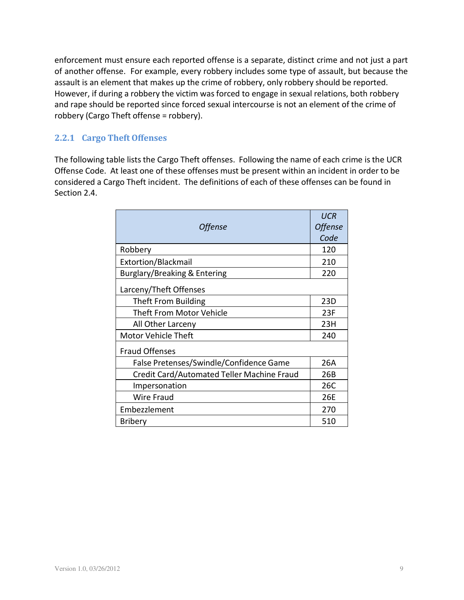enforcement must ensure each reported offense is a separate, distinct crime and not just a part of another offense. For example, every robbery includes some type of assault, but because the assault is an element that makes up the crime of robbery, only robbery should be reported. However, if during a robbery the victim was forced to engage in sexual relations, both robbery and rape should be reported since forced sexual intercourse is not an element of the crime of robbery (Cargo Theft offense = robbery).

# **2.2.1 Cargo Theft Offenses**

The following table lists the Cargo Theft offenses. Following the name of each crime is the UCR Offense Code. At least one of these offenses must be present within an incident in order to be considered a Cargo Theft incident. The definitions of each of these offenses can be found in Section 2.4.

| <b>Offense</b>                             | <b>UCR</b><br>Offense |
|--------------------------------------------|-----------------------|
|                                            | Code                  |
| Robbery                                    | 120                   |
| Extortion/Blackmail                        | 210                   |
| Burglary/Breaking & Entering               | 220                   |
| Larceny/Theft Offenses                     |                       |
| Theft From Building                        | 23D                   |
| <b>Theft From Motor Vehicle</b>            | 23F                   |
| All Other Larceny                          | 23H                   |
| <b>Motor Vehicle Theft</b>                 |                       |
| <b>Fraud Offenses</b>                      |                       |
| False Pretenses/Swindle/Confidence Game    | 26A                   |
| Credit Card/Automated Teller Machine Fraud | 26B                   |
| Impersonation                              | 26C                   |
| Wire Fraud                                 | 26E                   |
| Embezzlement                               | 270                   |
| <b>Bribery</b>                             | 510                   |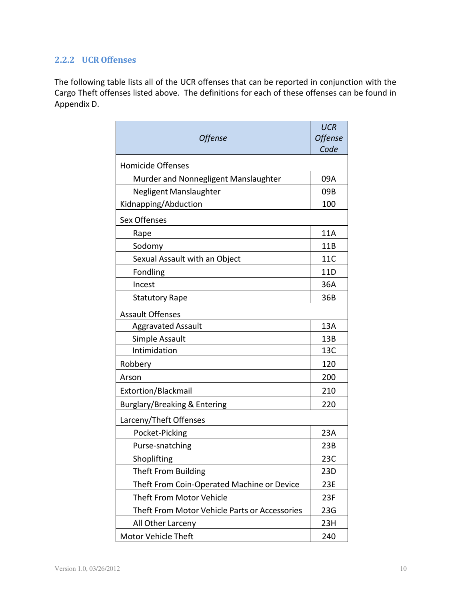# **2.2.2 UCR Offenses**

The following table lists all of the UCR offenses that can be reported in conjunction with the Cargo Theft offenses listed above. The definitions for each of these offenses can be found in Appendix D.

| Offense                                       | <b>UCR</b><br><b>Offense</b><br>Code |
|-----------------------------------------------|--------------------------------------|
| <b>Homicide Offenses</b>                      |                                      |
| Murder and Nonnegligent Manslaughter          | 09A                                  |
| Negligent Manslaughter                        | 09B                                  |
| Kidnapping/Abduction                          | 100                                  |
| <b>Sex Offenses</b>                           |                                      |
| Rape                                          | 11A                                  |
| Sodomy                                        | 11B                                  |
| Sexual Assault with an Object                 | 11C                                  |
| Fondling                                      | 11D                                  |
| Incest                                        | 36A                                  |
| <b>Statutory Rape</b>                         | 36B                                  |
| <b>Assault Offenses</b>                       |                                      |
| <b>Aggravated Assault</b>                     | 13A                                  |
| Simple Assault                                | 13B                                  |
| Intimidation                                  | 13C                                  |
| Robbery                                       | 120                                  |
| Arson                                         | 200                                  |
| Extortion/Blackmail                           | 210                                  |
| Burglary/Breaking & Entering                  | 220                                  |
| Larceny/Theft Offenses                        |                                      |
| Pocket-Picking                                | 23A                                  |
| Purse-snatching                               | 23B                                  |
| Shoplifting                                   | 23C                                  |
| Theft From Building                           | 23D                                  |
| Theft From Coin-Operated Machine or Device    | 23E                                  |
| <b>Theft From Motor Vehicle</b>               | 23F                                  |
| Theft From Motor Vehicle Parts or Accessories | 23G                                  |
| All Other Larceny                             | 23H                                  |
| Motor Vehicle Theft                           | 240                                  |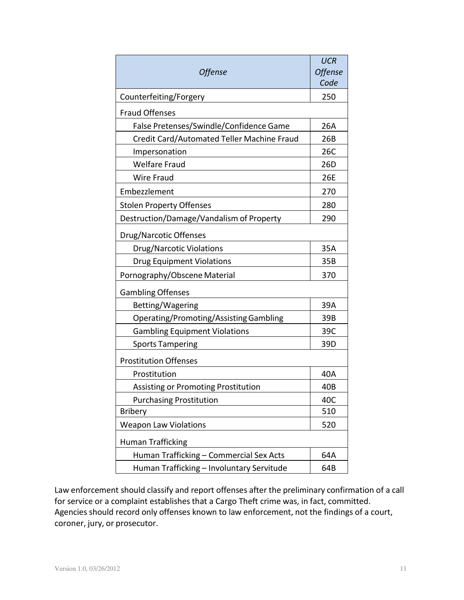| Offense                                       | <b>UCR</b><br><b>Offense</b> |
|-----------------------------------------------|------------------------------|
|                                               | Code                         |
| Counterfeiting/Forgery                        | 250                          |
| <b>Fraud Offenses</b>                         |                              |
| False Pretenses/Swindle/Confidence Game       | 26A                          |
| Credit Card/Automated Teller Machine Fraud    | 26B                          |
| Impersonation                                 | 26C                          |
| <b>Welfare Fraud</b>                          | 26D                          |
| <b>Wire Fraud</b>                             | 26E                          |
| Embezzlement                                  | 270                          |
| <b>Stolen Property Offenses</b>               | 280                          |
| Destruction/Damage/Vandalism of Property      | 290                          |
| Drug/Narcotic Offenses                        |                              |
| <b>Drug/Narcotic Violations</b>               | 35A                          |
| <b>Drug Equipment Violations</b>              | 35B                          |
| Pornography/Obscene Material                  |                              |
| <b>Gambling Offenses</b>                      |                              |
| Betting/Wagering                              | 39A                          |
| <b>Operating/Promoting/Assisting Gambling</b> | 39B                          |
| <b>Gambling Equipment Violations</b>          | 39C                          |
| <b>Sports Tampering</b>                       | 39D                          |
| <b>Prostitution Offenses</b>                  |                              |
| Prostitution                                  | 40A                          |
| <b>Assisting or Promoting Prostitution</b>    | 40B                          |
| <b>Purchasing Prostitution</b>                | 40C                          |
| <b>Bribery</b>                                | 510                          |
| <b>Weapon Law Violations</b>                  | 520                          |
| <b>Human Trafficking</b>                      |                              |
| Human Trafficking - Commercial Sex Acts       | 64A                          |
| Human Trafficking - Involuntary Servitude     | 64B                          |

Law enforcement should classify and report offenses after the preliminary confirmation of a call for service or a complaint establishes that a Cargo Theft crime was, in fact, committed. Agencies should record only offenses known to law enforcement, not the findings of a court, coroner, jury, or prosecutor.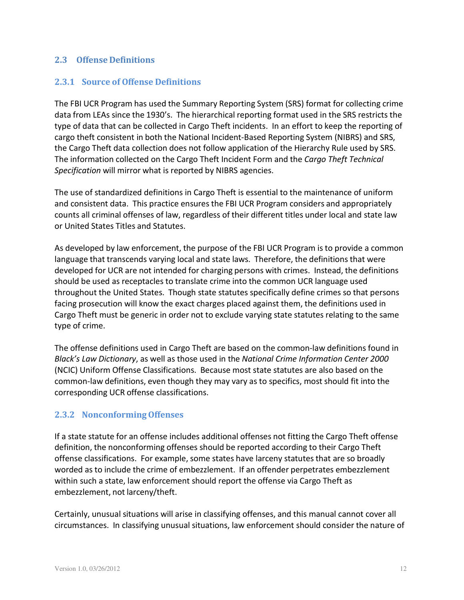# **2.3 Offense Definitions**

## **2.3.1 Source of Offense Definitions**

The FBI UCR Program has used the Summary Reporting System (SRS) format for collecting crime data from LEAs since the 1930's. The hierarchical reporting format used in the SRS restricts the type of data that can be collected in Cargo Theft incidents. In an effort to keep the reporting of cargo theft consistent in both the National Incident-Based Reporting System (NIBRS) and SRS, the Cargo Theft data collection does not follow application of the Hierarchy Rule used by SRS. The information collected on the Cargo Theft Incident Form and the *Cargo Theft Technical Specification* will mirror what is reported by NIBRS agencies.

The use of standardized definitions in Cargo Theft is essential to the maintenance of uniform and consistent data. This practice ensures the FBI UCR Program considers and appropriately counts all criminal offenses of law, regardless of their different titles under local and state law or United States Titles and Statutes.

As developed by law enforcement, the purpose of the FBI UCR Program isto provide a common language that transcends varying local and state laws. Therefore, the definitions that were developed for UCR are not intended for charging persons with crimes. Instead, the definitions should be used as receptacles to translate crime into the common UCR language used throughout the United States. Though state statutes specifically define crimes so that persons facing prosecution will know the exact charges placed against them, the definitions used in Cargo Theft must be generic in order not to exclude varying state statutes relating to the same type of crime.

The offense definitions used in Cargo Theft are based on the common-law definitions found in *Black's Law Dictionary*, as well as those used in the *National Crime Information Center 2000* (NCIC) Uniform Offense Classifications. Because most state statutes are also based on the common-law definitions, even though they may vary as to specifics, most should fit into the corresponding UCR offense classifications.

# **2.3.2 NonconformingOffenses**

If a state statute for an offense includes additional offenses not fitting the Cargo Theft offense definition, the nonconforming offenses should be reported according to their Cargo Theft offense classifications. For example, some states have larceny statutes that are so broadly worded as to include the crime of embezzlement. If an offender perpetrates embezzlement within such a state, law enforcement should report the offense via Cargo Theft as embezzlement, not larceny/theft.

Certainly, unusual situations will arise in classifying offenses, and this manual cannot cover all circumstances. In classifying unusual situations, law enforcement should consider the nature of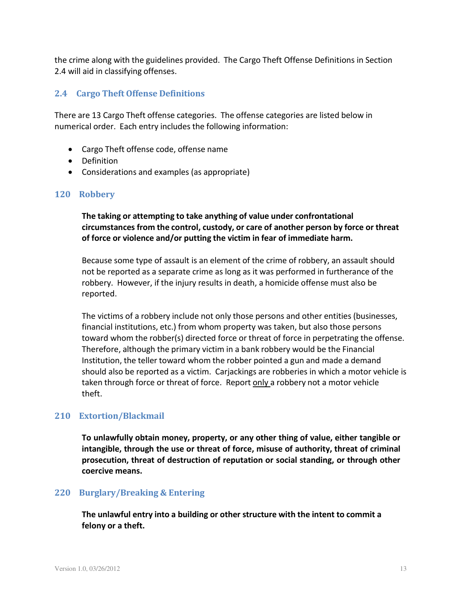the crime along with the guidelines provided. The Cargo Theft Offense Definitions in Section 2.4 will aid in classifying offenses.

# **2.4 Cargo Theft Offense Definitions**

There are 13 Cargo Theft offense categories. The offense categories are listed below in numerical order. Each entry includes the following information:

- Cargo Theft offense code, offense name
- Definition
- Considerations and examples (as appropriate)

#### **120 Robbery**

**The taking or attempting to take anything of value under confrontational circumstances from the control, custody, or care of another person by force or threat of force or violence and/or putting the victim in fear of immediate harm.**

Because some type of assault is an element of the crime of robbery, an assault should not be reported as a separate crime as long as it was performed in furtherance of the robbery. However, if the injury results in death, a homicide offense must also be reported.

The victims of a robbery include not only those persons and other entities (businesses, financial institutions, etc.) from whom property was taken, but also those persons toward whom the robber(s) directed force or threat of force in perpetrating the offense. Therefore, although the primary victim in a bank robbery would be the Financial Institution, the teller toward whom the robber pointed a gun and made a demand should also be reported as a victim. Carjackings are robberies in which a motor vehicle is taken through force or threat of force. Report only a robbery not a motor vehicle theft.

#### **210 Extortion/Blackmail**

**To unlawfully obtain money, property, or any other thing of value, either tangible or intangible, through the use or threat of force, misuse of authority, threat of criminal prosecution, threat of destruction of reputation or social standing, or through other coercive means.**

#### **220 Burglary/Breaking & Entering**

**The unlawful entry into a building or other structure with the intent to commit a felony or a theft.**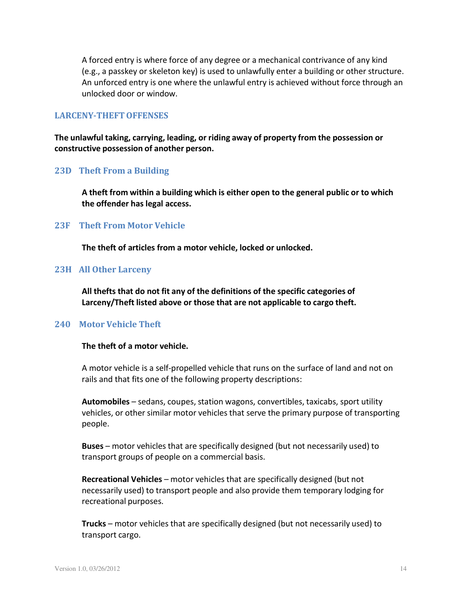A forced entry is where force of any degree or a mechanical contrivance of any kind (e.g., a passkey or skeleton key) is used to unlawfully enter a building or other structure. An unforced entry is one where the unlawful entry is achieved without force through an unlocked door or window.

#### **LARCENY-THEFTOFFENSES**

**The unlawful taking, carrying, leading, or riding away of property from the possession or constructive possession of another person.**

#### **23D Theft From a Building**

**A theft from within a building which is either open to the general public or to which the offender has legal access.**

#### **23F Theft From Motor Vehicle**

**The theft of articles from a motor vehicle, locked or unlocked.**

#### **23H All Other Larceny**

**All thefts that do not fit any of the definitions of the specific categories of Larceny/Theft listed above or those that are not applicable to cargo theft.**

#### **240 Motor Vehicle Theft**

#### **The theft of a motor vehicle.**

A motor vehicle is a self-propelled vehicle that runs on the surface of land and not on rails and that fits one of the following property descriptions:

**Automobiles** – sedans, coupes, station wagons, convertibles, taxicabs, sport utility vehicles, or other similar motor vehicles that serve the primary purpose of transporting people.

**Buses** – motor vehicles that are specifically designed (but not necessarily used) to transport groups of people on a commercial basis.

**Recreational Vehicles** – motor vehicles that are specifically designed (but not necessarily used) to transport people and also provide them temporary lodging for recreational purposes.

**Trucks** – motor vehicles that are specifically designed (but not necessarily used) to transport cargo.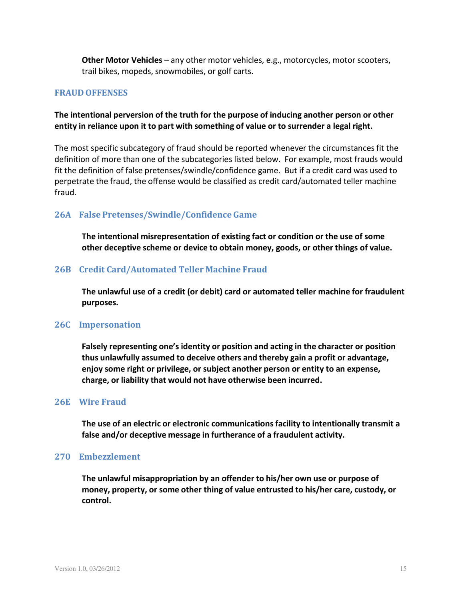**Other Motor Vehicles** – any other motor vehicles, e.g., motorcycles, motor scooters, trail bikes, mopeds, snowmobiles, or golf carts.

#### **FRAUD OFFENSES**

## **The intentional perversion of the truth for the purpose of inducing another person or other entity in reliance upon it to part with something of value or to surrender a legal right.**

The most specific subcategory of fraud should be reported whenever the circumstancesfit the definition of more than one of the subcategories listed below. For example, most frauds would fit the definition of false pretenses/swindle/confidence game. But if a credit card was used to perpetrate the fraud, the offense would be classified as credit card/automated teller machine fraud.

#### **26A False Pretenses/Swindle/Confidence Game**

**The intentional misrepresentation of existing fact or condition or the use of some other deceptive scheme or device to obtain money, goods, or other things of value.**

#### **26B Credit Card/Automated Teller Machine Fraud**

**The unlawful use of a credit (or debit) card or automated teller machine for fraudulent purposes.**

#### **26C Impersonation**

**Falsely representing one's identity or position and acting in the character or position thus unlawfully assumed to deceive others and thereby gain a profit or advantage, enjoy some right or privilege, or subject another person or entity to an expense, charge, or liability that would not have otherwise been incurred.**

#### **26E Wire Fraud**

**The use of an electric or electronic communications facility to intentionally transmit a false and/or deceptive message in furtherance of a fraudulent activity.**

#### **270 Embezzlement**

**The unlawful misappropriation by an offender to his/her own use or purpose of money, property, or some other thing of value entrusted to his/her care, custody, or control.**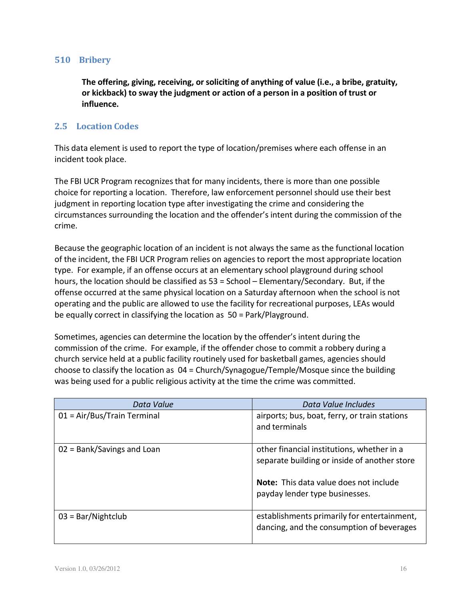#### **510 Bribery**

**The offering, giving, receiving, or soliciting of anything of value (i.e., a bribe, gratuity, or kickback) to sway the judgment or action of a person in a position of trust or influence.**

# **2.5 Location Codes**

This data element is used to report the type of location/premises where each offense in an incident took place.

The FBI UCR Program recognizesthat for many incidents, there is more than one possible choice for reporting a location. Therefore, law enforcement personnel should use their best judgment in reporting location type after investigating the crime and considering the circumstances surrounding the location and the offender's intent during the commission of the crime.

Because the geographic location of an incident is not always the same as the functional location of the incident, the FBI UCR Program relies on agencies to report the most appropriate location type. For example, if an offense occurs at an elementary school playground during school hours, the location should be classified as 53 = School – Elementary/Secondary. But, if the offense occurred at the same physical location on a Saturday afternoon when the school is not operating and the public are allowed to use the facility for recreational purposes, LEAs would be equally correct in classifying the location as 50 = Park/Playground.

Sometimes, agencies can determine the location by the offender's intent during the commission of the crime. For example, if the offender chose to commit a robbery during a church service held at a public facility routinely used for basketball games, agencies should choose to classify the location as 04 = Church/Synagogue/Temple/Mosque since the building was being used for a public religious activity at the time the crime was committed.

| Data Value                    | Data Value Includes                                                                                                                                                           |
|-------------------------------|-------------------------------------------------------------------------------------------------------------------------------------------------------------------------------|
| $01 = Air/Bus/Train Terminal$ | airports; bus, boat, ferry, or train stations<br>and terminals                                                                                                                |
| $02 = Bank/Savings$ and Loan  | other financial institutions, whether in a<br>separate building or inside of another store<br><b>Note:</b> This data value does not include<br>payday lender type businesses. |
| $03 = \text{Bar/Nightclub}$   | establishments primarily for entertainment,<br>dancing, and the consumption of beverages                                                                                      |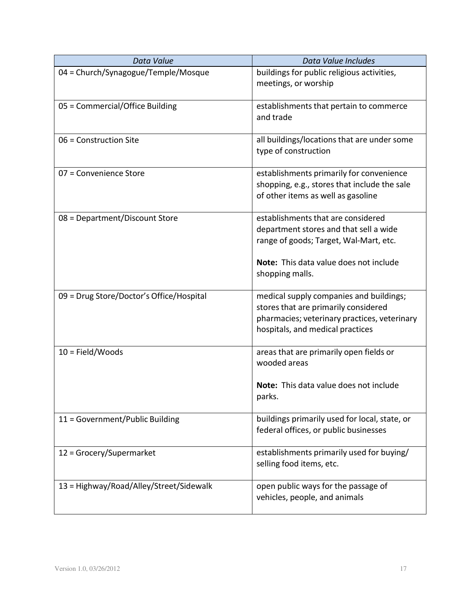| Data Value                               | Data Value Includes                                                                                                                                                 |
|------------------------------------------|---------------------------------------------------------------------------------------------------------------------------------------------------------------------|
| 04 = Church/Synagogue/Temple/Mosque      | buildings for public religious activities,<br>meetings, or worship                                                                                                  |
| 05 = Commercial/Office Building          | establishments that pertain to commerce<br>and trade                                                                                                                |
| 06 = Construction Site                   | all buildings/locations that are under some<br>type of construction                                                                                                 |
| 07 = Convenience Store                   | establishments primarily for convenience<br>shopping, e.g., stores that include the sale<br>of other items as well as gasoline                                      |
| 08 = Department/Discount Store           | establishments that are considered<br>department stores and that sell a wide<br>range of goods; Target, Wal-Mart, etc.                                              |
|                                          | <b>Note:</b> This data value does not include<br>shopping malls.                                                                                                    |
| 09 = Drug Store/Doctor's Office/Hospital | medical supply companies and buildings;<br>stores that are primarily considered<br>pharmacies; veterinary practices, veterinary<br>hospitals, and medical practices |
| $10 = Field/Woods$                       | areas that are primarily open fields or<br>wooded areas                                                                                                             |
|                                          | Note: This data value does not include<br>parks.                                                                                                                    |
| 11 = Government/Public Building          | buildings primarily used for local, state, or<br>federal offices, or public businesses                                                                              |
| 12 = Grocery/Supermarket                 | establishments primarily used for buying/<br>selling food items, etc.                                                                                               |
| 13 = Highway/Road/Alley/Street/Sidewalk  | open public ways for the passage of<br>vehicles, people, and animals                                                                                                |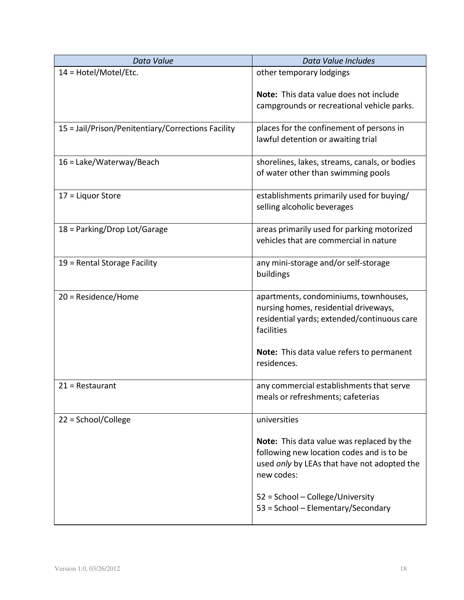| Data Value                                         | Data Value Includes                                                                                                                                 |
|----------------------------------------------------|-----------------------------------------------------------------------------------------------------------------------------------------------------|
| $14 = Hotel/Motel/Etc.$                            | other temporary lodgings                                                                                                                            |
|                                                    | Note: This data value does not include<br>campgrounds or recreational vehicle parks.                                                                |
| 15 = Jail/Prison/Penitentiary/Corrections Facility | places for the confinement of persons in<br>lawful detention or awaiting trial                                                                      |
| 16 = Lake/Waterway/Beach                           | shorelines, lakes, streams, canals, or bodies<br>of water other than swimming pools                                                                 |
| 17 = Liquor Store                                  | establishments primarily used for buying/<br>selling alcoholic beverages                                                                            |
| 18 = Parking/Drop Lot/Garage                       | areas primarily used for parking motorized<br>vehicles that are commercial in nature                                                                |
| 19 = Rental Storage Facility                       | any mini-storage and/or self-storage<br>buildings                                                                                                   |
| 20 = Residence/Home                                | apartments, condominiums, townhouses,<br>nursing homes, residential driveways,<br>residential yards; extended/continuous care<br>facilities         |
|                                                    | Note: This data value refers to permanent<br>residences.                                                                                            |
| $21 =$ Restaurant                                  | any commercial establishments that serve<br>meals or refreshments; cafeterias                                                                       |
| 22 = School/College                                | universities                                                                                                                                        |
|                                                    | Note: This data value was replaced by the<br>following new location codes and is to be<br>used only by LEAs that have not adopted the<br>new codes: |
|                                                    | 52 = School - College/University<br>53 = School - Elementary/Secondary                                                                              |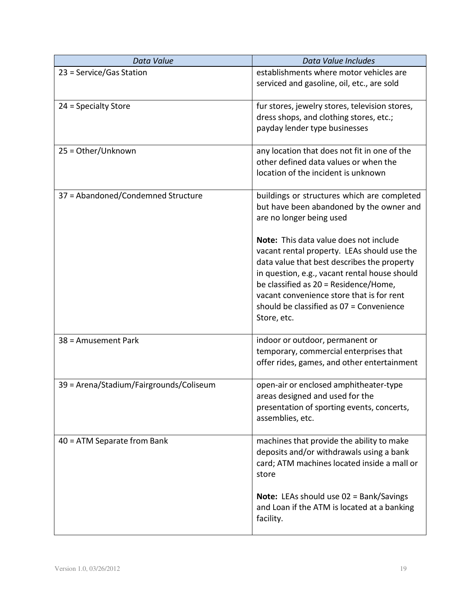| Data Value                              | Data Value Includes                                                                                                                                                                                                                                                                                                                    |
|-----------------------------------------|----------------------------------------------------------------------------------------------------------------------------------------------------------------------------------------------------------------------------------------------------------------------------------------------------------------------------------------|
| 23 = Service/Gas Station                | establishments where motor vehicles are<br>serviced and gasoline, oil, etc., are sold                                                                                                                                                                                                                                                  |
| 24 = Specialty Store                    | fur stores, jewelry stores, television stores,<br>dress shops, and clothing stores, etc.;<br>payday lender type businesses                                                                                                                                                                                                             |
| 25 = Other/Unknown                      | any location that does not fit in one of the<br>other defined data values or when the<br>location of the incident is unknown                                                                                                                                                                                                           |
| 37 = Abandoned/Condemned Structure      | buildings or structures which are completed<br>but have been abandoned by the owner and<br>are no longer being used                                                                                                                                                                                                                    |
|                                         | Note: This data value does not include<br>vacant rental property. LEAs should use the<br>data value that best describes the property<br>in question, e.g., vacant rental house should<br>be classified as 20 = Residence/Home,<br>vacant convenience store that is for rent<br>should be classified as 07 = Convenience<br>Store, etc. |
| 38 = Amusement Park                     | indoor or outdoor, permanent or<br>temporary, commercial enterprises that<br>offer rides, games, and other entertainment                                                                                                                                                                                                               |
| 39 = Arena/Stadium/Fairgrounds/Coliseum | open-air or enclosed amphitheater-type<br>areas designed and used for the<br>presentation of sporting events, concerts,<br>assemblies, etc.                                                                                                                                                                                            |
| $40 = ATM$ Separate from Bank           | machines that provide the ability to make<br>deposits and/or withdrawals using a bank<br>card; ATM machines located inside a mall or<br>store                                                                                                                                                                                          |
|                                         | <b>Note:</b> LEAs should use 02 = Bank/Savings<br>and Loan if the ATM is located at a banking<br>facility.                                                                                                                                                                                                                             |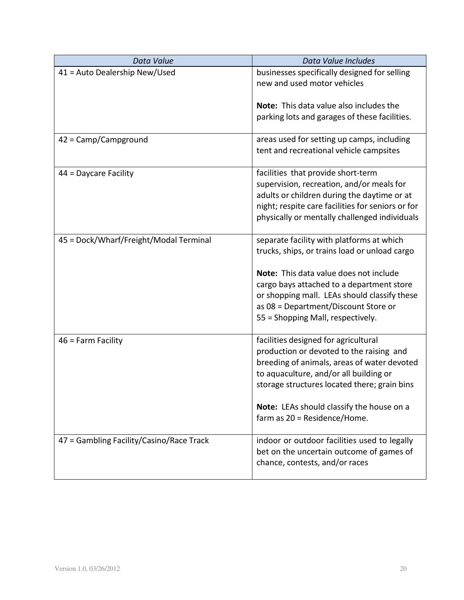| Data Value                               | Data Value Includes                                                                                                                                                                                                                                                                                            |
|------------------------------------------|----------------------------------------------------------------------------------------------------------------------------------------------------------------------------------------------------------------------------------------------------------------------------------------------------------------|
| 41 = Auto Dealership New/Used            | businesses specifically designed for selling<br>new and used motor vehicles                                                                                                                                                                                                                                    |
|                                          | <b>Note:</b> This data value also includes the<br>parking lots and garages of these facilities.                                                                                                                                                                                                                |
| 42 = Camp/Campground                     | areas used for setting up camps, including<br>tent and recreational vehicle campsites                                                                                                                                                                                                                          |
| 44 = Daycare Facility                    | facilities that provide short-term<br>supervision, recreation, and/or meals for<br>adults or children during the daytime or at<br>night; respite care facilities for seniors or for<br>physically or mentally challenged individuals                                                                           |
| 45 = Dock/Wharf/Freight/Modal Terminal   | separate facility with platforms at which<br>trucks, ships, or trains load or unload cargo<br>Note: This data value does not include<br>cargo bays attached to a department store<br>or shopping mall. LEAs should classify these<br>as 08 = Department/Discount Store or<br>55 = Shopping Mall, respectively. |
| $46$ = Farm Facility                     | facilities designed for agricultural<br>production or devoted to the raising and<br>breeding of animals, areas of water devoted<br>to aquaculture, and/or all building or<br>storage structures located there; grain bins<br>Note: LEAs should classify the house on a<br>farm as 20 = Residence/Home.         |
| 47 = Gambling Facility/Casino/Race Track | indoor or outdoor facilities used to legally<br>bet on the uncertain outcome of games of<br>chance, contests, and/or races                                                                                                                                                                                     |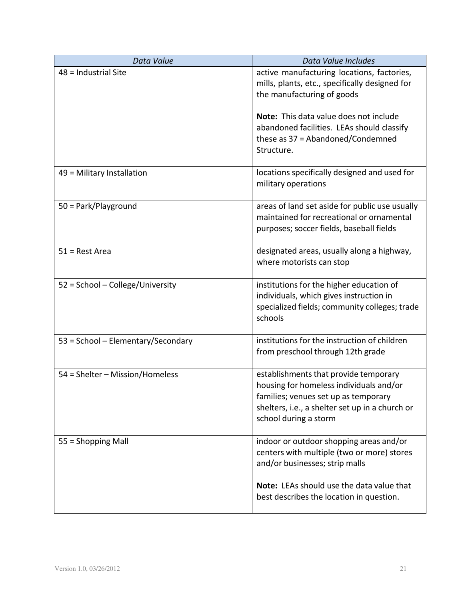| Data Value                         | Data Value Includes                                                                                                                                                                                  |
|------------------------------------|------------------------------------------------------------------------------------------------------------------------------------------------------------------------------------------------------|
| 48 = Industrial Site               | active manufacturing locations, factories,<br>mills, plants, etc., specifically designed for<br>the manufacturing of goods                                                                           |
|                                    | Note: This data value does not include<br>abandoned facilities. LEAs should classify<br>these as 37 = Abandoned/Condemned<br>Structure.                                                              |
| 49 = Military Installation         | locations specifically designed and used for<br>military operations                                                                                                                                  |
| 50 = Park/Playground               | areas of land set aside for public use usually<br>maintained for recreational or ornamental<br>purposes; soccer fields, baseball fields                                                              |
| $51$ = Rest Area                   | designated areas, usually along a highway,<br>where motorists can stop                                                                                                                               |
| 52 = School - College/University   | institutions for the higher education of<br>individuals, which gives instruction in<br>specialized fields; community colleges; trade<br>schools                                                      |
| 53 = School - Elementary/Secondary | institutions for the instruction of children<br>from preschool through 12th grade                                                                                                                    |
| 54 = Shelter - Mission/Homeless    | establishments that provide temporary<br>housing for homeless individuals and/or<br>families; venues set up as temporary<br>shelters, i.e., a shelter set up in a church or<br>school during a storm |
| 55 = Shopping Mall                 | indoor or outdoor shopping areas and/or<br>centers with multiple (two or more) stores<br>and/or businesses; strip malls                                                                              |
|                                    | Note: LEAs should use the data value that<br>best describes the location in question.                                                                                                                |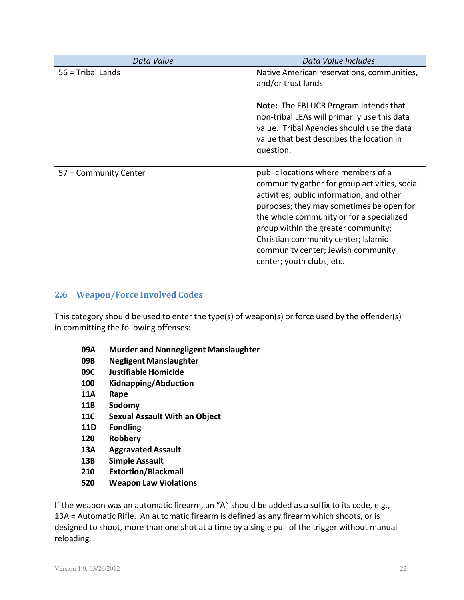| Data Value            | Data Value Includes                                                                                                                                                                                                                                                                                                                                                        |
|-----------------------|----------------------------------------------------------------------------------------------------------------------------------------------------------------------------------------------------------------------------------------------------------------------------------------------------------------------------------------------------------------------------|
| $56$ = Tribal Lands   | Native American reservations, communities,<br>and/or trust lands                                                                                                                                                                                                                                                                                                           |
|                       | <b>Note:</b> The FBI UCR Program intends that<br>non-tribal LEAs will primarily use this data<br>value. Tribal Agencies should use the data<br>value that best describes the location in<br>question.                                                                                                                                                                      |
| 57 = Community Center | public locations where members of a<br>community gather for group activities, social<br>activities, public information, and other<br>purposes; they may sometimes be open for<br>the whole community or for a specialized<br>group within the greater community;<br>Christian community center; Islamic<br>community center; Jewish community<br>center; youth clubs, etc. |

# **2.6 Weapon/Force Involved Codes**

This category should be used to enter the type(s) of weapon(s) or force used by the offender(s) in committing the following offenses:

- **09A Murder and Nonnegligent Manslaughter**
- **09B Negligent Manslaughter**
- **09C Justifiable Homicide**
- **100 Kidnapping/Abduction**
- **11A Rape**
- **11B Sodomy**
- **11C Sexual Assault With an Object**
- **11D Fondling**
- **120 Robbery**
- **13A Aggravated Assault**
- **13B Simple Assault**
- **210 Extortion/Blackmail**
- **520 Weapon Law Violations**

If the weapon was an automatic firearm, an "A" should be added as a suffix to its code, e.g., 13A = Automatic Rifle. An automatic firearm is defined as any firearm which shoots, or is designed to shoot, more than one shot at a time by a single pull of the trigger without manual reloading.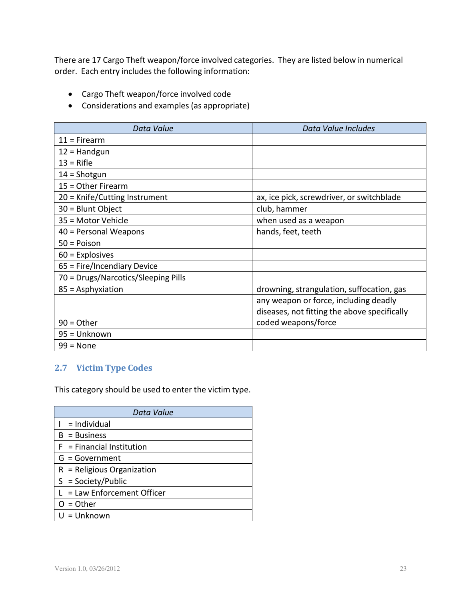There are 17 Cargo Theft weapon/force involved categories. They are listed below in numerical order. Each entry includes the following information:

- Cargo Theft weapon/force involved code
- Considerations and examples (as appropriate)

| Data Value                          | Data Value Includes                          |
|-------------------------------------|----------------------------------------------|
| $11 =$ Firearm                      |                                              |
| $12 =$ Handgun                      |                                              |
| $13 =$ Rifle                        |                                              |
| $14 =$ Shotgun                      |                                              |
| 15 = Other Firearm                  |                                              |
| 20 = Knife/Cutting Instrument       | ax, ice pick, screwdriver, or switchblade    |
| 30 = Blunt Object                   | club, hammer                                 |
| 35 = Motor Vehicle                  | when used as a weapon                        |
| $40$ = Personal Weapons             | hands, feet, teeth                           |
| $50 = Poisson$                      |                                              |
| $60$ = Explosives                   |                                              |
| 65 = Fire/Incendiary Device         |                                              |
| 70 = Drugs/Narcotics/Sleeping Pills |                                              |
| $85 =$ Asphyxiation                 | drowning, strangulation, suffocation, gas    |
|                                     | any weapon or force, including deadly        |
|                                     | diseases, not fitting the above specifically |
| $90 = Other$                        | coded weapons/force                          |
| 95 = Unknown                        |                                              |
| $99 = None$                         |                                              |

# **2.7 Victim Type Codes**

This category should be used to enter the victim type.

| Data Value                    |
|-------------------------------|
| $I = Individual$              |
| $B = Business$                |
| $F = Financial Institution$   |
| $G = Government$              |
| $R =$ Religious Organization  |
| $S = Society/Public$          |
| $L = Law$ Enforcement Officer |
| $O = Other$                   |
| $U = Unknown$                 |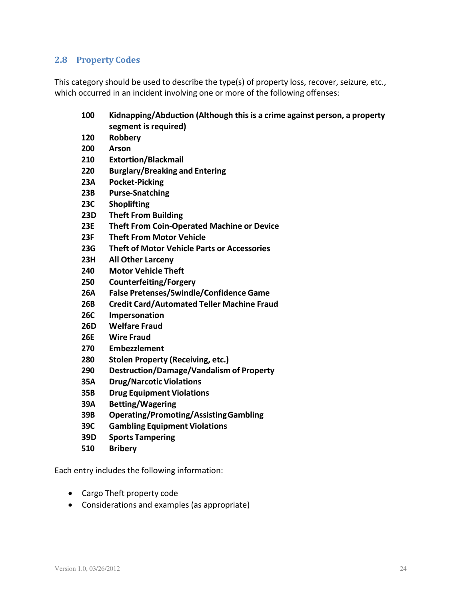# **2.8 Property Codes**

This category should be used to describe the type(s) of property loss, recover, seizure, etc., which occurred in an incident involving one or more of the following offenses:

# **100 Kidnapping/Abduction (Although this is a crime against person, a property segment is required)**

- **120 Robbery**
- **200 Arson**
- **210 Extortion/Blackmail**
- **220 Burglary/Breaking and Entering**
- **23A Pocket-Picking**
- **23B Purse-Snatching**
- **23C Shoplifting**
- **23D Theft From Building**
- **23E Theft From Coin-Operated Machine or Device**
- **23F Theft From Motor Vehicle**
- **23G Theft of Motor Vehicle Parts or Accessories**
- **23H All Other Larceny**
- **240 Motor Vehicle Theft**
- **250 Counterfeiting/Forgery**
- **26A False Pretenses/Swindle/Confidence Game**
- **26B Credit Card/Automated Teller Machine Fraud**
- **26C Impersonation**
- **26D Welfare Fraud**
- **26E Wire Fraud**
- **270 Embezzlement**
- **280 Stolen Property (Receiving, etc.)**
- **290 Destruction/Damage/Vandalism of Property**
- **35A Drug/Narcotic Violations**
- **35B Drug Equipment Violations**
- **39A Betting/Wagering**
- **39B Operating/Promoting/AssistingGambling**
- **39C Gambling Equipment Violations**
- **39D Sports Tampering**
- **510 Bribery**

Each entry includes the following information:

- Cargo Theft property code
- Considerations and examples (as appropriate)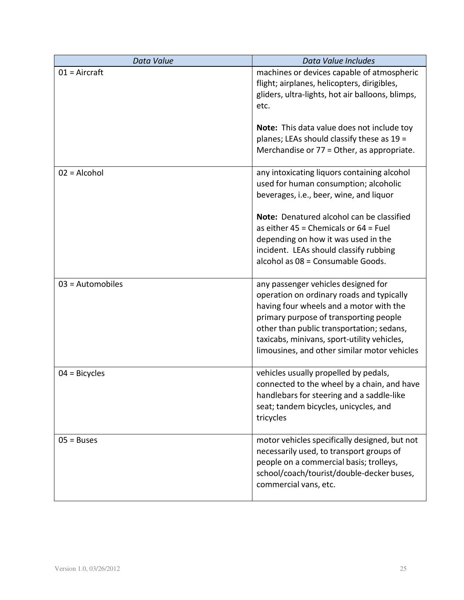| Data Value         | Data Value Includes                                                                                                                                                                                                                                                                                               |
|--------------------|-------------------------------------------------------------------------------------------------------------------------------------------------------------------------------------------------------------------------------------------------------------------------------------------------------------------|
| $01 =$ Aircraft    | machines or devices capable of atmospheric<br>flight; airplanes, helicopters, dirigibles,<br>gliders, ultra-lights, hot air balloons, blimps,<br>etc.                                                                                                                                                             |
|                    | <b>Note:</b> This data value does not include toy<br>planes; LEAs should classify these as 19 =<br>Merchandise or 77 = Other, as appropriate.                                                                                                                                                                     |
| $02$ = Alcohol     | any intoxicating liquors containing alcohol<br>used for human consumption; alcoholic<br>beverages, i.e., beer, wine, and liquor                                                                                                                                                                                   |
|                    | Note: Denatured alcohol can be classified<br>as either $45$ = Chemicals or $64$ = Fuel<br>depending on how it was used in the<br>incident. LEAs should classify rubbing<br>alcohol as 08 = Consumable Goods.                                                                                                      |
| $03 =$ Automobiles | any passenger vehicles designed for<br>operation on ordinary roads and typically<br>having four wheels and a motor with the<br>primary purpose of transporting people<br>other than public transportation; sedans,<br>taxicabs, minivans, sport-utility vehicles,<br>limousines, and other similar motor vehicles |
| $04$ = Bicycles    | vehicles usually propelled by pedals,<br>connected to the wheel by a chain, and have<br>handlebars for steering and a saddle-like<br>seat; tandem bicycles, unicycles, and<br>tricycles                                                                                                                           |
| $05 = Buses$       | motor vehicles specifically designed, but not<br>necessarily used, to transport groups of<br>people on a commercial basis; trolleys,<br>school/coach/tourist/double-decker buses,<br>commercial vans, etc.                                                                                                        |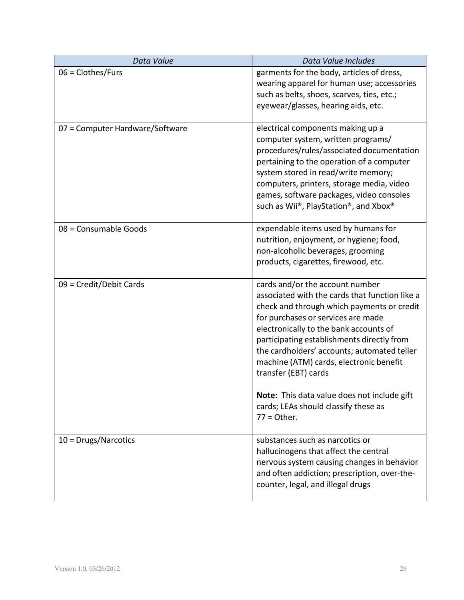| Data Value                      | Data Value Includes                                                                                                                                                                                                                                                                                                                                                                                                                                                                     |
|---------------------------------|-----------------------------------------------------------------------------------------------------------------------------------------------------------------------------------------------------------------------------------------------------------------------------------------------------------------------------------------------------------------------------------------------------------------------------------------------------------------------------------------|
| $06 = Clothers/Furs$            | garments for the body, articles of dress,<br>wearing apparel for human use; accessories<br>such as belts, shoes, scarves, ties, etc.;<br>eyewear/glasses, hearing aids, etc.                                                                                                                                                                                                                                                                                                            |
| 07 = Computer Hardware/Software | electrical components making up a<br>computer system, written programs/<br>procedures/rules/associated documentation<br>pertaining to the operation of a computer<br>system stored in read/write memory;<br>computers, printers, storage media, video<br>games, software packages, video consoles<br>such as Wii®, PlayStation®, and Xbox®                                                                                                                                              |
| 08 = Consumable Goods           | expendable items used by humans for<br>nutrition, enjoyment, or hygiene; food,<br>non-alcoholic beverages, grooming<br>products, cigarettes, firewood, etc.                                                                                                                                                                                                                                                                                                                             |
| 09 = Credit/Debit Cards         | cards and/or the account number<br>associated with the cards that function like a<br>check and through which payments or credit<br>for purchases or services are made<br>electronically to the bank accounts of<br>participating establishments directly from<br>the cardholders' accounts; automated teller<br>machine (ATM) cards, electronic benefit<br>transfer (EBT) cards<br>Note: This data value does not include gift<br>cards; LEAs should classify these as<br>$77 =$ Other. |
| $10 = Drugs/Narcotics$          | substances such as narcotics or<br>hallucinogens that affect the central<br>nervous system causing changes in behavior<br>and often addiction; prescription, over-the-<br>counter, legal, and illegal drugs                                                                                                                                                                                                                                                                             |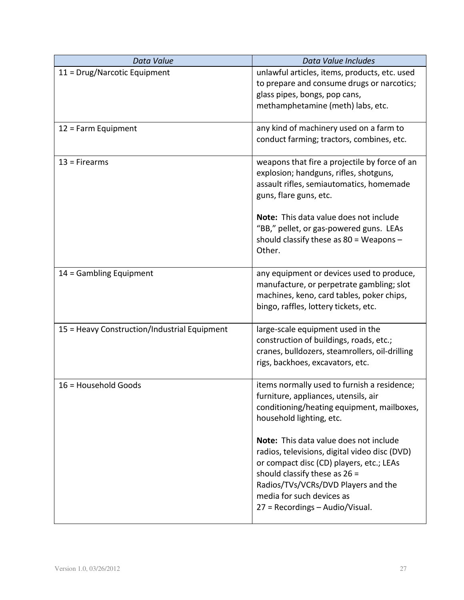| Data Value                                   | Data Value Includes                                                                                                                                                                                                                                                           |
|----------------------------------------------|-------------------------------------------------------------------------------------------------------------------------------------------------------------------------------------------------------------------------------------------------------------------------------|
| 11 = Drug/Narcotic Equipment                 | unlawful articles, items, products, etc. used<br>to prepare and consume drugs or narcotics;<br>glass pipes, bongs, pop cans,<br>methamphetamine (meth) labs, etc.                                                                                                             |
| $12$ = Farm Equipment                        | any kind of machinery used on a farm to<br>conduct farming; tractors, combines, etc.                                                                                                                                                                                          |
| $13$ = Firearms                              | weapons that fire a projectile by force of an<br>explosion; handguns, rifles, shotguns,<br>assault rifles, semiautomatics, homemade<br>guns, flare guns, etc.                                                                                                                 |
|                                              | Note: This data value does not include<br>"BB," pellet, or gas-powered guns. LEAs<br>should classify these as $80 =$ Weapons -<br>Other.                                                                                                                                      |
| 14 = Gambling Equipment                      | any equipment or devices used to produce,<br>manufacture, or perpetrate gambling; slot<br>machines, keno, card tables, poker chips,<br>bingo, raffles, lottery tickets, etc.                                                                                                  |
| 15 = Heavy Construction/Industrial Equipment | large-scale equipment used in the<br>construction of buildings, roads, etc.;<br>cranes, bulldozers, steamrollers, oil-drilling<br>rigs, backhoes, excavators, etc.                                                                                                            |
| 16 = Household Goods                         | items normally used to furnish a residence;<br>furniture, appliances, utensils, air<br>conditioning/heating equipment, mailboxes,<br>household lighting, etc.                                                                                                                 |
|                                              | Note: This data value does not include<br>radios, televisions, digital video disc (DVD)<br>or compact disc (CD) players, etc.; LEAs<br>should classify these as $26 =$<br>Radios/TVs/VCRs/DVD Players and the<br>media for such devices as<br>27 = Recordings - Audio/Visual. |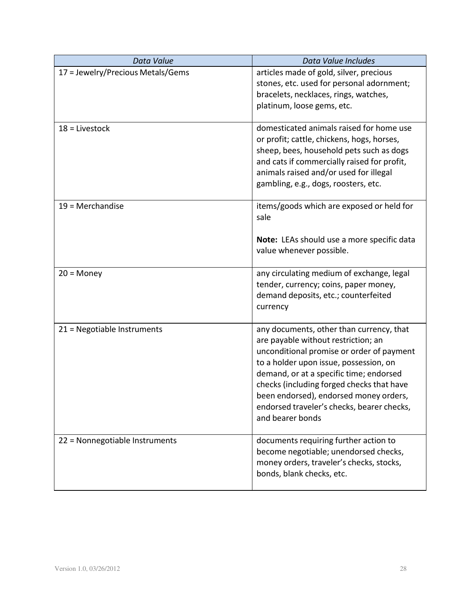| Data Value                        | Data Value Includes                                                                                                                                                                                                                                                                                                                                                        |
|-----------------------------------|----------------------------------------------------------------------------------------------------------------------------------------------------------------------------------------------------------------------------------------------------------------------------------------------------------------------------------------------------------------------------|
| 17 = Jewelry/Precious Metals/Gems | articles made of gold, silver, precious<br>stones, etc. used for personal adornment;<br>bracelets, necklaces, rings, watches,<br>platinum, loose gems, etc.                                                                                                                                                                                                                |
| $18$ = Livestock                  | domesticated animals raised for home use<br>or profit; cattle, chickens, hogs, horses,<br>sheep, bees, household pets such as dogs<br>and cats if commercially raised for profit,<br>animals raised and/or used for illegal<br>gambling, e.g., dogs, roosters, etc.                                                                                                        |
| $19$ = Merchandise                | items/goods which are exposed or held for<br>sale<br>Note: LEAs should use a more specific data<br>value whenever possible.                                                                                                                                                                                                                                                |
| $20 = \text{Money}$               | any circulating medium of exchange, legal<br>tender, currency; coins, paper money,<br>demand deposits, etc.; counterfeited<br>currency                                                                                                                                                                                                                                     |
| 21 = Negotiable Instruments       | any documents, other than currency, that<br>are payable without restriction; an<br>unconditional promise or order of payment<br>to a holder upon issue, possession, on<br>demand, or at a specific time; endorsed<br>checks (including forged checks that have<br>been endorsed), endorsed money orders,<br>endorsed traveler's checks, bearer checks,<br>and bearer bonds |
| 22 = Nonnegotiable Instruments    | documents requiring further action to<br>become negotiable; unendorsed checks,<br>money orders, traveler's checks, stocks,<br>bonds, blank checks, etc.                                                                                                                                                                                                                    |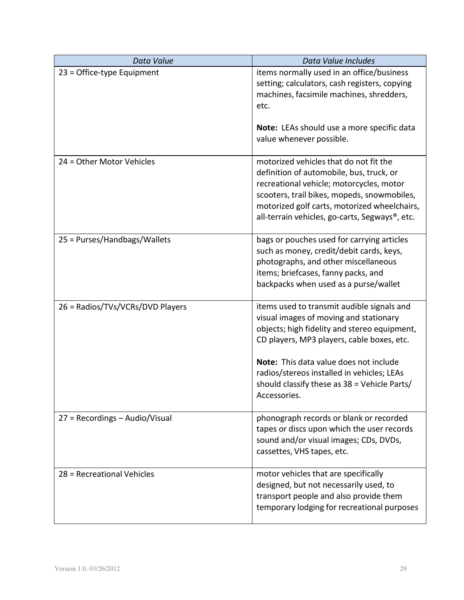| Data Value                       | Data Value Includes                                                                                                                                                                                                                                                             |
|----------------------------------|---------------------------------------------------------------------------------------------------------------------------------------------------------------------------------------------------------------------------------------------------------------------------------|
| $23$ = Office-type Equipment     | items normally used in an office/business<br>setting; calculators, cash registers, copying<br>machines, facsimile machines, shredders,<br>etc.                                                                                                                                  |
|                                  | Note: LEAs should use a more specific data<br>value whenever possible.                                                                                                                                                                                                          |
| 24 = Other Motor Vehicles        | motorized vehicles that do not fit the<br>definition of automobile, bus, truck, or<br>recreational vehicle; motorcycles, motor<br>scooters, trail bikes, mopeds, snowmobiles,<br>motorized golf carts, motorized wheelchairs,<br>all-terrain vehicles, go-carts, Segways®, etc. |
| 25 = Purses/Handbags/Wallets     | bags or pouches used for carrying articles<br>such as money, credit/debit cards, keys,<br>photographs, and other miscellaneous<br>items; briefcases, fanny packs, and<br>backpacks when used as a purse/wallet                                                                  |
| 26 = Radios/TVs/VCRs/DVD Players | items used to transmit audible signals and<br>visual images of moving and stationary<br>objects; high fidelity and stereo equipment,<br>CD players, MP3 players, cable boxes, etc.<br>Note: This data value does not include                                                    |
|                                  | radios/stereos installed in vehicles; LEAs<br>should classify these as 38 = Vehicle Parts/<br>Accessories.                                                                                                                                                                      |
| 27 = Recordings - Audio/Visual   | phonograph records or blank or recorded<br>tapes or discs upon which the user records<br>sound and/or visual images; CDs, DVDs,<br>cassettes, VHS tapes, etc.                                                                                                                   |
| 28 = Recreational Vehicles       | motor vehicles that are specifically<br>designed, but not necessarily used, to<br>transport people and also provide them<br>temporary lodging for recreational purposes                                                                                                         |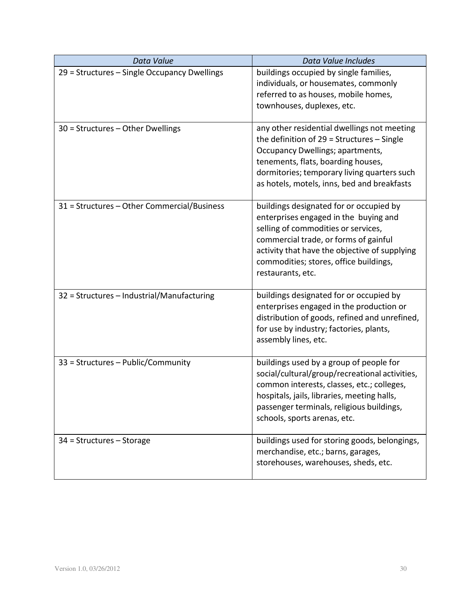| Data Value                                   | Data Value Includes                                                                                                                                                                                                                                                              |
|----------------------------------------------|----------------------------------------------------------------------------------------------------------------------------------------------------------------------------------------------------------------------------------------------------------------------------------|
| 29 = Structures - Single Occupancy Dwellings | buildings occupied by single families,<br>individuals, or housemates, commonly<br>referred to as houses, mobile homes,<br>townhouses, duplexes, etc.                                                                                                                             |
| $30$ = Structures – Other Dwellings          | any other residential dwellings not meeting<br>the definition of $29$ = Structures - Single<br>Occupancy Dwellings; apartments,<br>tenements, flats, boarding houses,<br>dormitories; temporary living quarters such<br>as hotels, motels, inns, bed and breakfasts              |
| 31 = Structures - Other Commercial/Business  | buildings designated for or occupied by<br>enterprises engaged in the buying and<br>selling of commodities or services,<br>commercial trade, or forms of gainful<br>activity that have the objective of supplying<br>commodities; stores, office buildings,<br>restaurants, etc. |
| 32 = Structures - Industrial/Manufacturing   | buildings designated for or occupied by<br>enterprises engaged in the production or<br>distribution of goods, refined and unrefined,<br>for use by industry; factories, plants,<br>assembly lines, etc.                                                                          |
| 33 = Structures - Public/Community           | buildings used by a group of people for<br>social/cultural/group/recreational activities,<br>common interests, classes, etc.; colleges,<br>hospitals, jails, libraries, meeting halls,<br>passenger terminals, religious buildings,<br>schools, sports arenas, etc.              |
| $34$ = Structures – Storage                  | buildings used for storing goods, belongings,<br>merchandise, etc.; barns, garages,<br>storehouses, warehouses, sheds, etc.                                                                                                                                                      |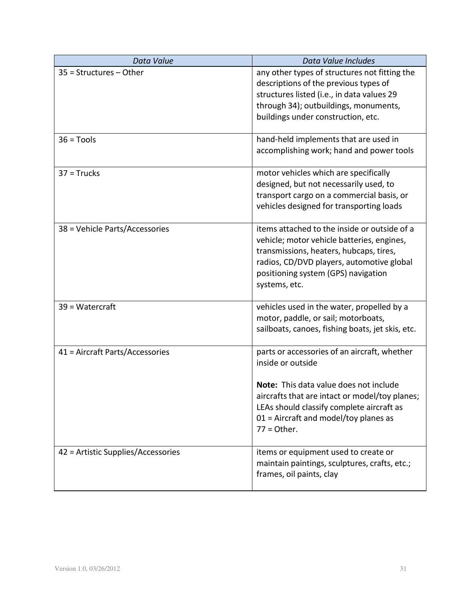| Data Value                         | Data Value Includes                                                                                                                                                                                                                                                    |
|------------------------------------|------------------------------------------------------------------------------------------------------------------------------------------------------------------------------------------------------------------------------------------------------------------------|
| $35 =$ Structures - Other          | any other types of structures not fitting the<br>descriptions of the previous types of<br>structures listed (i.e., in data values 29<br>through 34); outbuildings, monuments,<br>buildings under construction, etc.                                                    |
| $36 = Tools$                       | hand-held implements that are used in<br>accomplishing work; hand and power tools                                                                                                                                                                                      |
| $37$ = Trucks                      | motor vehicles which are specifically<br>designed, but not necessarily used, to<br>transport cargo on a commercial basis, or<br>vehicles designed for transporting loads                                                                                               |
| 38 = Vehicle Parts/Accessories     | items attached to the inside or outside of a<br>vehicle; motor vehicle batteries, engines,<br>transmissions, heaters, hubcaps, tires,<br>radios, CD/DVD players, automotive global<br>positioning system (GPS) navigation<br>systems, etc.                             |
| 39 = Watercraft                    | vehicles used in the water, propelled by a<br>motor, paddle, or sail; motorboats,<br>sailboats, canoes, fishing boats, jet skis, etc.                                                                                                                                  |
| 41 = Aircraft Parts/Accessories    | parts or accessories of an aircraft, whether<br>inside or outside<br>Note: This data value does not include<br>aircrafts that are intact or model/toy planes;<br>LEAs should classify complete aircraft as<br>$01$ = Aircraft and model/toy planes as<br>$77 =$ Other. |
| 42 = Artistic Supplies/Accessories | items or equipment used to create or<br>maintain paintings, sculptures, crafts, etc.;<br>frames, oil paints, clay                                                                                                                                                      |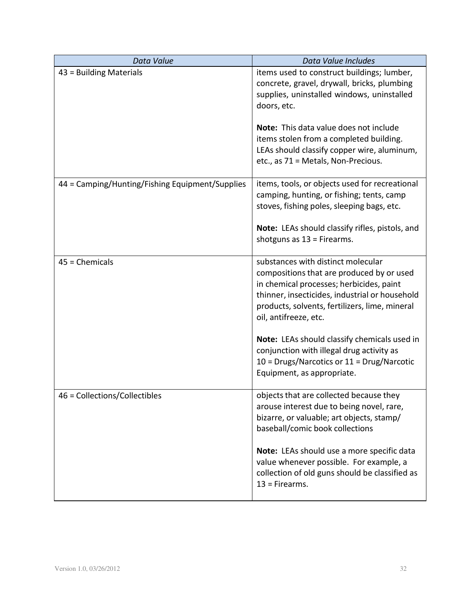| Data Value                                      | Data Value Includes                                                                                                                                                                                                                                      |
|-------------------------------------------------|----------------------------------------------------------------------------------------------------------------------------------------------------------------------------------------------------------------------------------------------------------|
| 43 = Building Materials                         | items used to construct buildings; lumber,<br>concrete, gravel, drywall, bricks, plumbing<br>supplies, uninstalled windows, uninstalled<br>doors, etc.                                                                                                   |
|                                                 | Note: This data value does not include<br>items stolen from a completed building.<br>LEAs should classify copper wire, aluminum,<br>etc., as 71 = Metals, Non-Precious.                                                                                  |
| 44 = Camping/Hunting/Fishing Equipment/Supplies | items, tools, or objects used for recreational<br>camping, hunting, or fishing; tents, camp<br>stoves, fishing poles, sleeping bags, etc.                                                                                                                |
|                                                 | Note: LEAs should classify rifles, pistols, and<br>shotguns as $13$ = Firearms.                                                                                                                                                                          |
| $45$ = Chemicals                                | substances with distinct molecular<br>compositions that are produced by or used<br>in chemical processes; herbicides, paint<br>thinner, insecticides, industrial or household<br>products, solvents, fertilizers, lime, mineral<br>oil, antifreeze, etc. |
|                                                 | Note: LEAs should classify chemicals used in<br>conjunction with illegal drug activity as<br>$10 = Drugs/Narcotics or 11 = Drug/Narcotic$<br>Equipment, as appropriate.                                                                                  |
| 46 = Collections/Collectibles                   | objects that are collected because they<br>arouse interest due to being novel, rare,<br>bizarre, or valuable; art objects, stamp/<br>baseball/comic book collections                                                                                     |
|                                                 | Note: LEAs should use a more specific data<br>value whenever possible. For example, a<br>collection of old guns should be classified as<br>$13$ = Firearms.                                                                                              |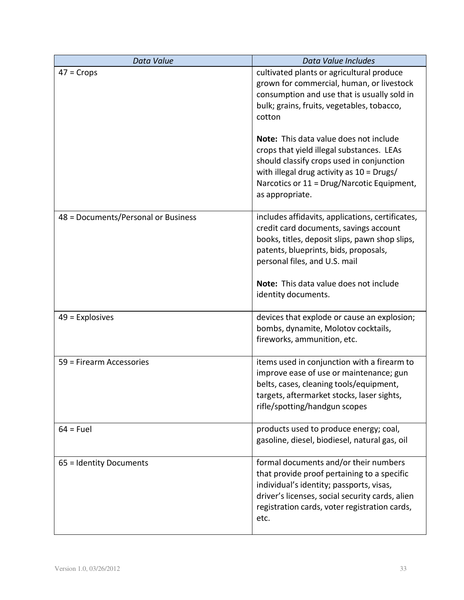| Data Value                          | Data Value Includes                                                                                                                                                                                                                                                                                                                                                                    |
|-------------------------------------|----------------------------------------------------------------------------------------------------------------------------------------------------------------------------------------------------------------------------------------------------------------------------------------------------------------------------------------------------------------------------------------|
| $47 = Crops$                        | cultivated plants or agricultural produce<br>grown for commercial, human, or livestock<br>consumption and use that is usually sold in<br>bulk; grains, fruits, vegetables, tobacco,<br>cotton<br>Note: This data value does not include<br>crops that yield illegal substances. LEAs<br>should classify crops used in conjunction<br>with illegal drug activity as $10 = \text{Drugs}$ |
|                                     | Narcotics or 11 = Drug/Narcotic Equipment,<br>as appropriate.                                                                                                                                                                                                                                                                                                                          |
| 48 = Documents/Personal or Business | includes affidavits, applications, certificates,<br>credit card documents, savings account<br>books, titles, deposit slips, pawn shop slips,<br>patents, blueprints, bids, proposals,<br>personal files, and U.S. mail<br>Note: This data value does not include<br>identity documents.                                                                                                |
| $49$ = Explosives                   | devices that explode or cause an explosion;<br>bombs, dynamite, Molotov cocktails,<br>fireworks, ammunition, etc.                                                                                                                                                                                                                                                                      |
| 59 = Firearm Accessories            | items used in conjunction with a firearm to<br>improve ease of use or maintenance; gun<br>belts, cases, cleaning tools/equipment,<br>targets, aftermarket stocks, laser sights,<br>rifle/spotting/handgun scopes                                                                                                                                                                       |
| $64$ = Fuel                         | products used to produce energy; coal,<br>gasoline, diesel, biodiesel, natural gas, oil                                                                                                                                                                                                                                                                                                |
| 65 = Identity Documents             | formal documents and/or their numbers<br>that provide proof pertaining to a specific<br>individual's identity; passports, visas,<br>driver's licenses, social security cards, alien<br>registration cards, voter registration cards,<br>etc.                                                                                                                                           |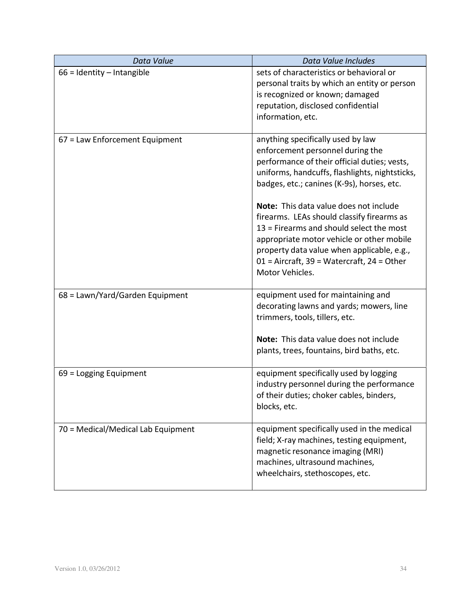| Data Value                         | Data Value Includes                                                                                                                                                                                                                                                                                                                                                                                                                                                                                                     |
|------------------------------------|-------------------------------------------------------------------------------------------------------------------------------------------------------------------------------------------------------------------------------------------------------------------------------------------------------------------------------------------------------------------------------------------------------------------------------------------------------------------------------------------------------------------------|
| $66$ = Identity - Intangible       | sets of characteristics or behavioral or<br>personal traits by which an entity or person<br>is recognized or known; damaged<br>reputation, disclosed confidential<br>information, etc.                                                                                                                                                                                                                                                                                                                                  |
| 67 = Law Enforcement Equipment     | anything specifically used by law<br>enforcement personnel during the<br>performance of their official duties; vests,<br>uniforms, handcuffs, flashlights, nightsticks,<br>badges, etc.; canines (K-9s), horses, etc.<br>Note: This data value does not include<br>firearms. LEAs should classify firearms as<br>13 = Firearms and should select the most<br>appropriate motor vehicle or other mobile<br>property data value when applicable, e.g.,<br>$01$ = Aircraft, 39 = Watercraft, 24 = Other<br>Motor Vehicles. |
| 68 = Lawn/Yard/Garden Equipment    | equipment used for maintaining and<br>decorating lawns and yards; mowers, line<br>trimmers, tools, tillers, etc.<br>Note: This data value does not include                                                                                                                                                                                                                                                                                                                                                              |
|                                    | plants, trees, fountains, bird baths, etc.                                                                                                                                                                                                                                                                                                                                                                                                                                                                              |
| $69$ = Logging Equipment           | equipment specifically used by logging<br>industry personnel during the performance<br>of their duties; choker cables, binders,<br>blocks, etc.                                                                                                                                                                                                                                                                                                                                                                         |
| 70 = Medical/Medical Lab Equipment | equipment specifically used in the medical<br>field; X-ray machines, testing equipment,<br>magnetic resonance imaging (MRI)<br>machines, ultrasound machines,<br>wheelchairs, stethoscopes, etc.                                                                                                                                                                                                                                                                                                                        |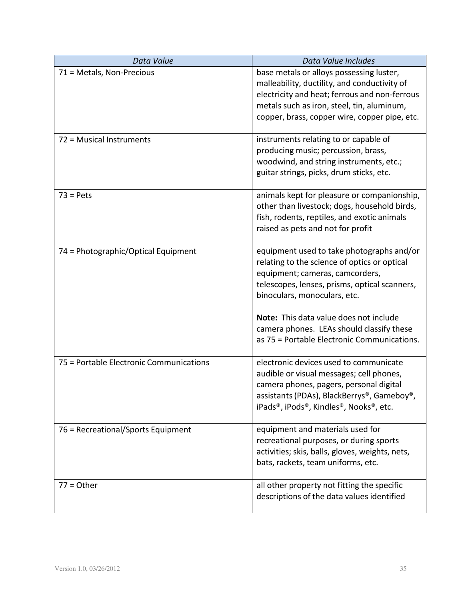| Data Value                              | Data Value Includes                                                                                                                                                                                                                                                                                                                                 |
|-----------------------------------------|-----------------------------------------------------------------------------------------------------------------------------------------------------------------------------------------------------------------------------------------------------------------------------------------------------------------------------------------------------|
| 71 = Metals, Non-Precious               | base metals or alloys possessing luster,<br>malleability, ductility, and conductivity of<br>electricity and heat; ferrous and non-ferrous<br>metals such as iron, steel, tin, aluminum,<br>copper, brass, copper wire, copper pipe, etc.                                                                                                            |
| 72 = Musical Instruments                | instruments relating to or capable of<br>producing music; percussion, brass,<br>woodwind, and string instruments, etc.;<br>guitar strings, picks, drum sticks, etc.                                                                                                                                                                                 |
| $73 = Pets$                             | animals kept for pleasure or companionship,<br>other than livestock; dogs, household birds,<br>fish, rodents, reptiles, and exotic animals<br>raised as pets and not for profit                                                                                                                                                                     |
| 74 = Photographic/Optical Equipment     | equipment used to take photographs and/or<br>relating to the science of optics or optical<br>equipment; cameras, camcorders,<br>telescopes, lenses, prisms, optical scanners,<br>binoculars, monoculars, etc.<br>Note: This data value does not include<br>camera phones. LEAs should classify these<br>as 75 = Portable Electronic Communications. |
| 75 = Portable Electronic Communications | electronic devices used to communicate<br>audible or visual messages; cell phones,<br>camera phones, pagers, personal digital<br>assistants (PDAs), BlackBerrys®, Gameboy®,<br>iPads®, iPods®, Kindles®, Nooks®, etc.                                                                                                                               |
| 76 = Recreational/Sports Equipment      | equipment and materials used for<br>recreational purposes, or during sports<br>activities; skis, balls, gloves, weights, nets,<br>bats, rackets, team uniforms, etc.                                                                                                                                                                                |
| $77 = Other$                            | all other property not fitting the specific<br>descriptions of the data values identified                                                                                                                                                                                                                                                           |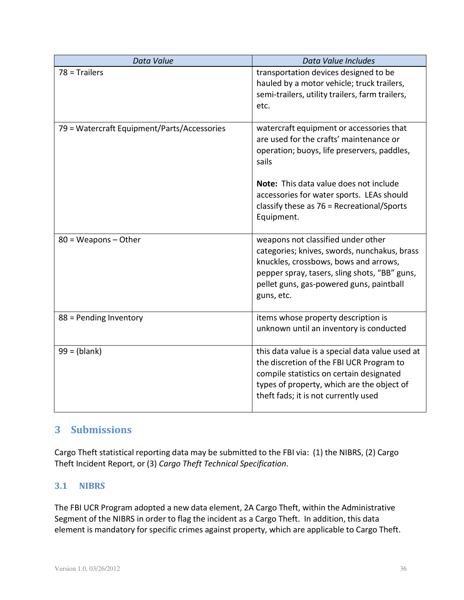| Data Value                                  | Data Value Includes                                                                                                                                                                                                                    |
|---------------------------------------------|----------------------------------------------------------------------------------------------------------------------------------------------------------------------------------------------------------------------------------------|
| $78$ = Trailers                             | transportation devices designed to be<br>hauled by a motor vehicle; truck trailers,<br>semi-trailers, utility trailers, farm trailers,<br>etc.                                                                                         |
| 79 = Watercraft Equipment/Parts/Accessories | watercraft equipment or accessories that<br>are used for the crafts' maintenance or<br>operation; buoys, life preservers, paddles,<br>sails                                                                                            |
|                                             | Note: This data value does not include<br>accessories for water sports. LEAs should<br>classify these as $76$ = Recreational/Sports<br>Equipment.                                                                                      |
| $80 = Weapons - Other$                      | weapons not classified under other<br>categories; knives, swords, nunchakus, brass<br>knuckles, crossbows, bows and arrows,<br>pepper spray, tasers, sling shots, "BB" guns,<br>pellet guns, gas-powered guns, paintball<br>guns, etc. |
| 88 = Pending Inventory                      | items whose property description is<br>unknown until an inventory is conducted                                                                                                                                                         |
| $99 = (blank)$                              | this data value is a special data value used at<br>the discretion of the FBI UCR Program to<br>compile statistics on certain designated<br>types of property, which are the object of<br>theft fads; it is not currently used          |

# **3 Submissions**

Cargo Theft statistical reporting data may be submitted to the FBI via: (1) the NIBRS, (2) Cargo Theft Incident Report, or (3) *Cargo Theft Technical Specification*.

# **3.1 NIBRS**

The FBI UCR Program adopted a new data element, 2A Cargo Theft, within the Administrative Segment of the NIBRS in order to flag the incident as a Cargo Theft. In addition, this data element is mandatory for specific crimes against property, which are applicable to Cargo Theft.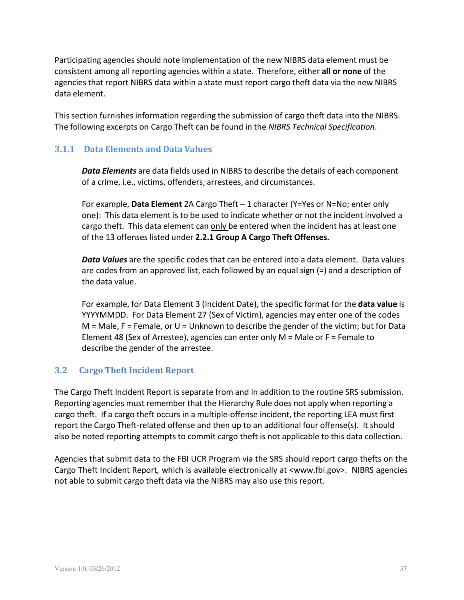Participating agencies should note implementation of the new NIBRS data element must be consistent among all reporting agencies within a state. Therefore, either **all or none** of the agencies that report NIBRS data within a state must report cargo theft data via the new NIBRS data element.

This section furnishes information regarding the submission of cargo theft data into the NIBRS. The following excerpts on Cargo Theft can be found in the *NIBRS Technical Specification*.

## **3.1.1 Data Elements and Data Values**

*Data Elements* are data fields used in NIBRS to describe the details of each component of a crime, i.e., victims, offenders, arrestees, and circumstances.

For example, **Data Element** 2A Cargo Theft – 1 character (Y=Yes or N=No; enter only one): This data element is to be used to indicate whether or not the incident involved a cargo theft. This data element can only be entered when the incident has at least one of the 13 offenses listed under **2.2.1 Group A Cargo Theft Offenses.**

*Data Values* are the specific codes that can be entered into a data element. Data values are codes from an approved list, each followed by an equal sign (=) and a description of the data value.

For example, for Data Element 3 (Incident Date), the specific format for the **data value** is YYYYMMDD. For Data Element 27 (Sex of Victim), agencies may enter one of the codes  $M =$  Male, F = Female, or U = Unknown to describe the gender of the victim; but for Data Element 48 (Sex of Arrestee), agencies can enter only M = Male or F = Female to describe the gender of the arrestee.

# **3.2 Cargo Theft Incident Report**

The Cargo Theft Incident Report is separate from and in addition to the routine SRS submission. Reporting agencies must remember that the Hierarchy Rule does not apply when reporting a cargo theft. If a cargo theft occurs in a multiple-offense incident, the reporting LEA must first report the Cargo Theft-related offense and then up to an additional four offense(s). It should also be noted reporting attempts to commit cargo theft is not applicable to this data collection.

Agencies that submit data to the FBI UCR Program via the SRS should report cargo thefts on the Cargo Theft Incident Report*,* which is available electronically at <www.fbi.gov>. NIBRS agencies not able to submit cargo theft data via the NIBRS may also use this report.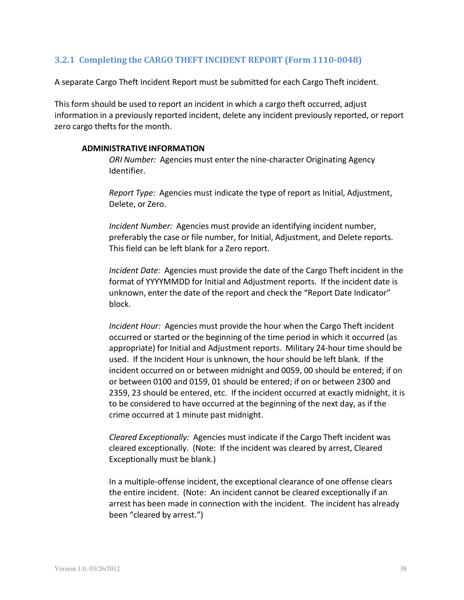# **3.2.1 Completing the CARGO THEFT INCIDENT REPORT (Form 1110-0048)**

A separate Cargo Theft Incident Report must be submitted for each Cargo Theft incident.

This form should be used to report an incident in which a cargo theft occurred, adjust information in a previously reported incident, delete any incident previously reported, or report zero cargo thefts for the month.

#### **ADMINISTRATIVE INFORMATION**

*ORI Number:* Agencies must enter the nine-character Originating Agency Identifier.

*Report Type:* Agencies must indicate the type of report as Initial, Adjustment, Delete, or Zero.

*Incident Number:* Agencies must provide an identifying incident number, preferably the case or file number, for Initial, Adjustment, and Delete reports. This field can be left blank for a Zero report.

*Incident Date:* Agencies must provide the date of the Cargo Theft incident in the format of YYYYMMDD for Initial and Adjustment reports. If the incident date is unknown, enter the date of the report and check the "Report Date Indicator" block.

*Incident Hour:* Agencies must provide the hour when the Cargo Theft incident occurred or started or the beginning of the time period in which it occurred (as appropriate) for Initial and Adjustment reports. Military 24-hour time should be used. If the Incident Hour is unknown, the hour should be left blank. If the incident occurred on or between midnight and 0059, 00 should be entered; if on or between 0100 and 0159, 01 should be entered; if on or between 2300 and 2359, 23 should be entered, etc. If the incident occurred at exactly midnight, it is to be considered to have occurred at the beginning of the next day, as if the crime occurred at 1 minute past midnight.

*Cleared Exceptionally:* Agencies must indicate if the Cargo Theft incident was cleared exceptionally. (Note: If the incident was cleared by arrest, Cleared Exceptionally must be blank.)

In a multiple-offense incident, the exceptional clearance of one offense clears the entire incident. (Note: An incident cannot be cleared exceptionally if an arrest has been made in connection with the incident. The incident has already been "cleared by arrest.")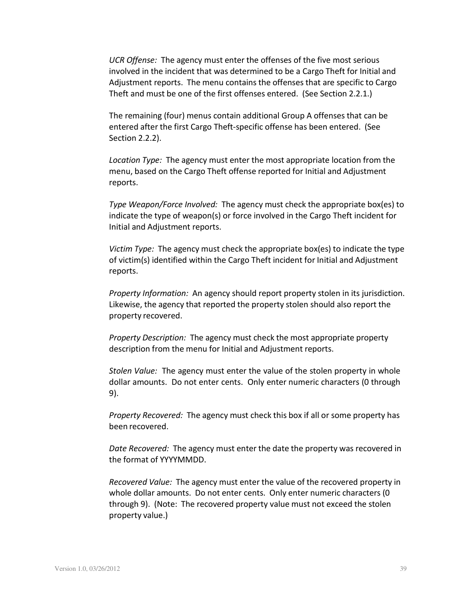*UCR Offense:* The agency must enter the offenses of the five most serious involved in the incident that was determined to be a Cargo Theft for Initial and Adjustment reports. The menu contains the offenses that are specific to Cargo Theft and must be one of the first offenses entered. (See Section 2.2.1.)

The remaining (four) menus contain additional Group A offenses that can be entered after the first Cargo Theft-specific offense has been entered. (See Section 2.2.2).

*Location Type:* The agency must enter the most appropriate location from the menu, based on the Cargo Theft offense reported for Initial and Adjustment reports.

*Type Weapon/Force Involved:* The agency must check the appropriate box(es) to indicate the type of weapon(s) or force involved in the Cargo Theft incident for Initial and Adjustment reports.

*Victim Type:* The agency must check the appropriate box(es) to indicate the type of victim(s) identified within the Cargo Theft incident for Initial and Adjustment reports.

*Property Information:* An agency should report property stolen in its jurisdiction. Likewise, the agency that reported the property stolen should also report the property recovered.

*Property Description:* The agency must check the most appropriate property description from the menu for Initial and Adjustment reports.

*Stolen Value:* The agency must enter the value of the stolen property in whole dollar amounts. Do not enter cents. Only enter numeric characters (0 through 9).

*Property Recovered:* The agency must check this box if all or some property has been recovered.

*Date Recovered:* The agency must enter the date the property was recovered in the format of YYYYMMDD.

*Recovered Value:* The agency must enter the value of the recovered property in whole dollar amounts. Do not enter cents. Only enter numeric characters (0 through 9). (Note: The recovered property value must not exceed the stolen property value.)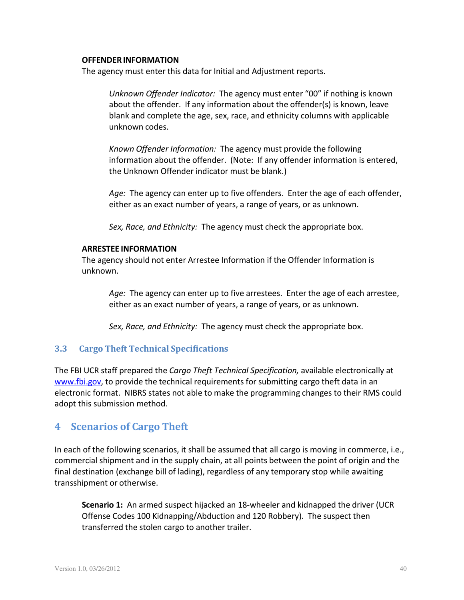#### **OFFENDERINFORMATION**

The agency must enter this data for Initial and Adjustment reports.

*Unknown Offender Indicator:* The agency must enter "00" if nothing is known about the offender. If any information about the offender(s) is known, leave blank and complete the age, sex, race, and ethnicity columns with applicable unknown codes.

*Known Offender Information:* The agency must provide the following information about the offender. (Note: If any offender information is entered, the Unknown Offender indicator must be blank.)

*Age:* The agency can enter up to five offenders. Enter the age of each offender, either as an exact number of years, a range of years, or as unknown.

*Sex, Race, and Ethnicity:* The agency must check the appropriate box.

#### **ARRESTEE INFORMATION**

The agency should not enter Arrestee Information if the Offender Information is unknown.

*Age:* The agency can enter up to five arrestees. Enter the age of each arrestee, either as an exact number of years, a range of years, or as unknown.

*Sex, Race, and Ethnicity:* The agency must check the appropriate box.

#### **3.3 Cargo Theft Technical Specifications**

The FBI UCR staff prepared the *Cargo Theft Technical Specification,* available electronically at www.fbi.gov, to provide the technical requirements for submitting cargo theft data in an electronic format. NIBRS states not able to make the programming changes to their RMS could adopt this submission method.

# **4 Scenarios of Cargo Theft**

In each of the following scenarios, it shall be assumed that all cargo is moving in commerce, i.e., commercial shipment and in the supply chain, at all points between the point of origin and the final destination (exchange bill of lading), regardless of any temporary stop while awaiting transshipment or otherwise.

**Scenario 1:** An armed suspect hijacked an 18-wheeler and kidnapped the driver (UCR Offense Codes 100 Kidnapping/Abduction and 120 Robbery). The suspect then transferred the stolen cargo to another trailer.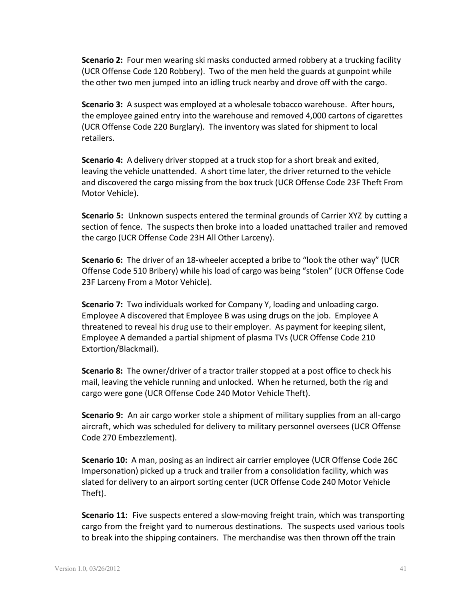**Scenario 2:** Four men wearing ski masks conducted armed robbery at a trucking facility (UCR Offense Code 120 Robbery). Two of the men held the guards at gunpoint while the other two men jumped into an idling truck nearby and drove off with the cargo.

**Scenario 3:** A suspect was employed at a wholesale tobacco warehouse. After hours, the employee gained entry into the warehouse and removed 4,000 cartons of cigarettes (UCR Offense Code 220 Burglary). The inventory was slated for shipment to local retailers.

**Scenario 4:** A delivery driver stopped at a truck stop for a short break and exited, leaving the vehicle unattended. A short time later, the driver returned to the vehicle and discovered the cargo missing from the box truck (UCR Offense Code 23F Theft From Motor Vehicle).

**Scenario 5:** Unknown suspects entered the terminal grounds of Carrier XYZ by cutting a section of fence. The suspects then broke into a loaded unattached trailer and removed the cargo (UCR Offense Code 23H All Other Larceny).

**Scenario 6:** The driver of an 18-wheeler accepted a bribe to "look the other way" (UCR Offense Code 510 Bribery) while his load of cargo was being "stolen" (UCR Offense Code 23F Larceny From a Motor Vehicle).

**Scenario 7:** Two individuals worked for Company Y, loading and unloading cargo. Employee A discovered that Employee B was using drugs on the job. Employee A threatened to reveal his drug use to their employer. As payment for keeping silent, Employee A demanded a partial shipment of plasma TVs (UCR Offense Code 210 Extortion/Blackmail).

**Scenario 8:** The owner/driver of a tractor trailer stopped at a post office to check his mail, leaving the vehicle running and unlocked. When he returned, both the rig and cargo were gone (UCR Offense Code 240 Motor Vehicle Theft).

**Scenario 9:** An air cargo worker stole a shipment of military supplies from an all-cargo aircraft, which was scheduled for delivery to military personnel oversees (UCR Offense Code 270 Embezzlement).

**Scenario 10:** A man, posing as an indirect air carrier employee (UCR Offense Code 26C Impersonation) picked up a truck and trailer from a consolidation facility, which was slated for delivery to an airport sorting center (UCR Offense Code 240 Motor Vehicle Theft).

**Scenario 11:** Five suspects entered a slow-moving freight train, which was transporting cargo from the freight yard to numerous destinations. The suspects used various tools to break into the shipping containers. The merchandise was then thrown off the train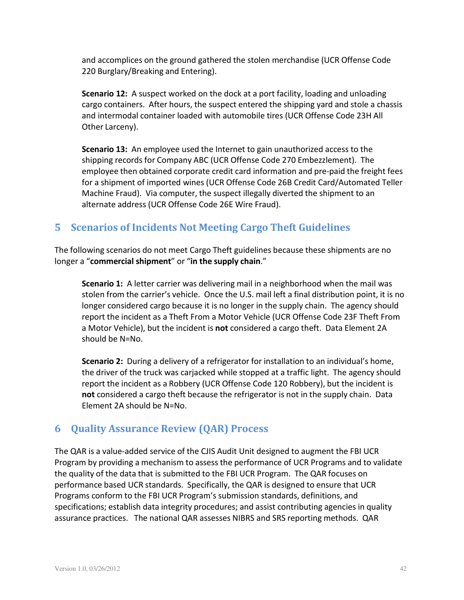and accomplices on the ground gathered the stolen merchandise (UCR Offense Code 220 Burglary/Breaking and Entering).

**Scenario 12:** A suspect worked on the dock at a port facility, loading and unloading cargo containers. After hours, the suspect entered the shipping yard and stole a chassis and intermodal container loaded with automobile tires (UCR Offense Code 23H All Other Larceny).

**Scenario 13:** An employee used the Internet to gain unauthorized access to the shipping records for Company ABC (UCR Offense Code 270 Embezzlement). The employee then obtained corporate credit card information and pre-paid the freight fees for a shipment of imported wines (UCR Offense Code 26B Credit Card/Automated Teller Machine Fraud). Via computer, the suspect illegally diverted the shipment to an alternate address (UCR Offense Code 26E Wire Fraud).

# **5 Scenarios of Incidents Not Meeting Cargo Theft Guidelines**

The following scenarios do not meet Cargo Theft guidelines because these shipments are no longer a "**commercial shipment**" or "**in the supply chain**."

**Scenario 1:** A letter carrier was delivering mail in a neighborhood when the mail was stolen from the carrier's vehicle. Once the U.S. mail left a final distribution point, it is no longer considered cargo because it is no longer in the supply chain. The agency should report the incident as a Theft From a Motor Vehicle (UCR Offense Code 23F Theft From a Motor Vehicle), but the incident is **not** considered a cargo theft. Data Element 2A should be N=No.

**Scenario 2:** During a delivery of a refrigerator for installation to an individual's home, the driver of the truck was carjacked while stopped at a traffic light. The agency should report the incident as a Robbery (UCR Offense Code 120 Robbery), but the incident is **not** considered a cargo theft because the refrigerator is not in the supply chain. Data Element 2A should be N=No.

# **6 Quality Assurance Review (QAR) Process**

The QAR is a value-added service of the CJIS Audit Unit designed to augment the FBI UCR Program by providing a mechanism to assess the performance of UCR Programs and to validate the quality of the data that is submitted to the FBI UCR Program. The QAR focuses on performance based UCR standards. Specifically, the QAR is designed to ensure that UCR Programs conform to the FBI UCR Program's submission standards, definitions, and specifications; establish data integrity procedures; and assist contributing agencies in quality assurance practices. The national QAR assesses NIBRS and SRS reporting methods. QAR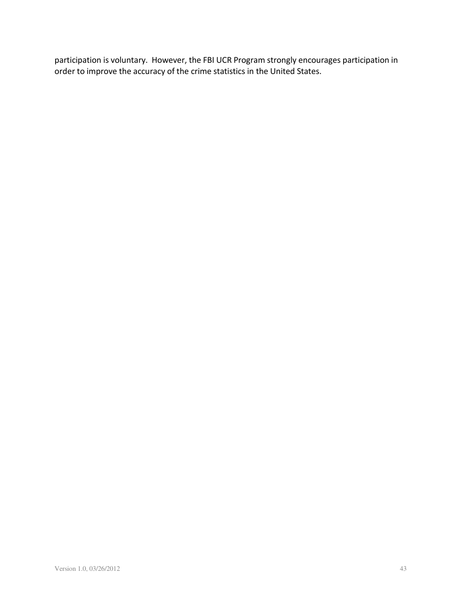participation is voluntary. However, the FBI UCR Program strongly encourages participation in order to improve the accuracy of the crime statistics in the United States.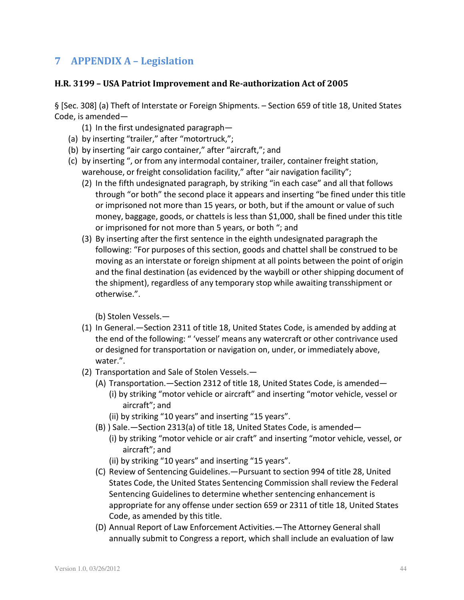# **7 APPENDIX A – Legislation**

## **H.R. 3199 – USA Patriot Improvement and Re-authorization Act of 2005**

§ [Sec. 308] (a) Theft of Interstate or Foreign Shipments. – Section 659 of title 18, United States Code, is amended—

- (1) In the first undesignated paragraph—
- (a) by inserting "trailer," after "motortruck,";
- (b) by inserting "air cargo container," after "aircraft,"; and
- (c) by inserting ", or from any intermodal container, trailer, container freight station, warehouse, or freight consolidation facility," after "air navigation facility";
	- (2) In the fifth undesignated paragraph, by striking "in each case" and all that follows through "or both" the second place it appears and inserting "be fined under this title or imprisoned not more than 15 years, or both, but if the amount or value of such money, baggage, goods, or chattels is less than \$1,000, shall be fined under this title or imprisoned for not more than 5 years, or both "; and
	- (3) By inserting after the first sentence in the eighth undesignated paragraph the following: "For purposes of this section, goods and chattel shall be construed to be moving as an interstate or foreign shipment at all points between the point of origin and the final destination (as evidenced by the waybill or other shipping document of the shipment), regardless of any temporary stop while awaiting transshipment or otherwise.".

(b) Stolen Vessels.—

- (1) In General.—Section 2311 of title 18, United States Code, is amended by adding at the end of the following: " 'vessel' means any watercraft or other contrivance used or designed for transportation or navigation on, under, or immediately above, water.".
- (2) Transportation and Sale of Stolen Vessels.—
	- (A) Transportation.—Section 2312 of title 18, United States Code, is amended— (i) by striking "motor vehicle or aircraft" and inserting "motor vehicle, vessel or aircraft"; and
		- (ii) by striking "10 years" and inserting "15 years".
	- (B) ) Sale.—Section 2313(a) of title 18, United States Code, is amended—
		- (i) by striking "motor vehicle or air craft" and inserting "motor vehicle, vessel, or aircraft"; and

(ii) by striking "10 years" and inserting "15 years".

- (C) Review of Sentencing Guidelines.—Pursuant to section 994 of title 28, United States Code, the United States Sentencing Commission shall review the Federal Sentencing Guidelines to determine whether sentencing enhancement is appropriate for any offense under section 659 or 2311 of title 18, United States Code, as amended by this title.
- (D) Annual Report of Law Enforcement Activities.—The Attorney General shall annually submit to Congress a report, which shall include an evaluation of law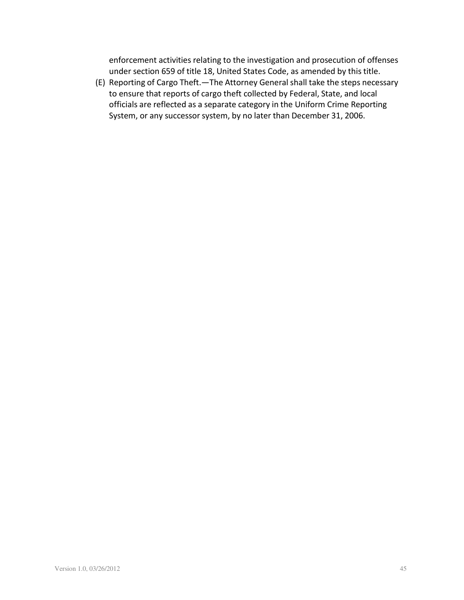enforcement activities relating to the investigation and prosecution of offenses under section 659 of title 18, United States Code, as amended by this title.

(E) Reporting of Cargo Theft.—The Attorney General shall take the steps necessary to ensure that reports of cargo theft collected by Federal, State, and local officials are reflected as a separate category in the Uniform Crime Reporting System, or any successor system, by no later than December 31, 2006.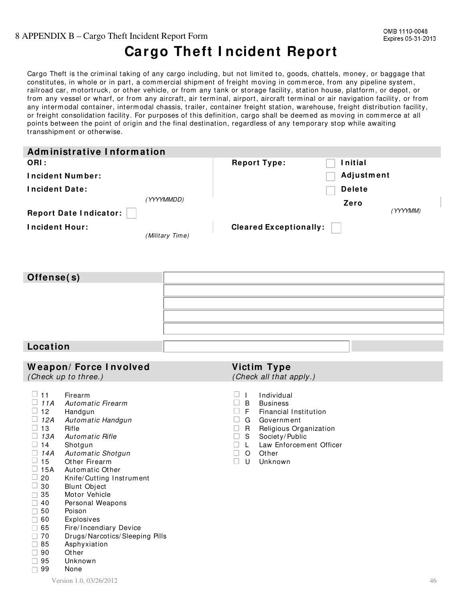#### 8 APPENDIX B – Cargo Theft Incident Report Form

# **Cargo Theft I ncident Report**

Cargo Theft is the criminal taking of any cargo including, but not limited to, goods, chattels, money, or baggage that constitutes, in whole or in part, a commercial shipment of freight moving in commerce, from any pipeline system, railroad car, motortruck, or other vehicle, or from any tank or storage facility, station house, platform, or depot, or from any vessel or wharf, or from any aircraft, air terminal, airport, aircraft terminal or air navigation facility, or from any intermodal container, intermodal chassis, trailer, container freight station, warehouse, freight distribution facility, or freight consolidation facility. For purposes of this definition, cargo shall be deemed as moving in commerce at all points between the point of origin and the final destination, regardless of any tem porary stop while awaiting transshipment or otherwise.

| Administrative Information    |                 |                               |                |          |
|-------------------------------|-----------------|-------------------------------|----------------|----------|
| ORI:                          |                 | <b>Report Type:</b>           | <b>Initial</b> |          |
| <b>Incident Number:</b>       |                 |                               | Adjustment     |          |
| <b>Incident Date:</b>         |                 |                               | <b>Delete</b>  |          |
|                               | (YYYYMMDD)      |                               | Zero           |          |
| <b>Report Date Indicator:</b> |                 |                               |                | (YYYYMM) |
| Incident Hour:                |                 | <b>Cleared Exceptionally:</b> |                |          |
|                               | (Military Time) |                               |                |          |

| Offense(s) |  |
|------------|--|
|            |  |
|            |  |
|            |  |
|            |  |
| Location   |  |

|                                                                                                                                                                                                                                                             | <b>Weapon/Force Involved</b><br>(Check up to three.)                                                                                                                                                                                                                                                                                                                                                                   | Victim Type                                                                                                               | (Check all that apply.)                                                                                                                                |    |
|-------------------------------------------------------------------------------------------------------------------------------------------------------------------------------------------------------------------------------------------------------------|------------------------------------------------------------------------------------------------------------------------------------------------------------------------------------------------------------------------------------------------------------------------------------------------------------------------------------------------------------------------------------------------------------------------|---------------------------------------------------------------------------------------------------------------------------|--------------------------------------------------------------------------------------------------------------------------------------------------------|----|
| $\Box$ 11<br>u.<br>11A<br>u.<br>12<br>12A<br>u.<br>$\Box$ 13<br>13A<br>u.<br>$\Box$ 14<br>14A<br>$\Box$<br>15<br>u.<br>$\Box$ 15A<br>u.<br>20<br>$\Box$ 30<br>35<br>n.<br>40<br>H<br>50<br>60<br>65<br>70<br>П.<br>85<br>H<br>90<br>95<br>$\Box$<br>99<br>П | Firearm<br>Automatic Firearm<br>Handgun<br>Automatic Handgun<br>Rifle<br><b>Automatic Rifle</b><br>Shotgun<br>Automatic Shotgun<br>Other Firearm<br>Automatic Other<br>Knife/Cutting Instrument<br><b>Blunt Object</b><br>Motor Vehicle<br>Personal Weapons<br>Poison<br>Explosives<br>Fire/Incendiary Device<br>Drugs/Narcotics/Sleeping Pills<br>Asphyxiation<br>Other<br>Unknown<br>None<br>Version 1.0, 03/26/2012 | ш<br>$\perp$<br>B<br>ш<br>⊔<br>F<br>G<br>ш<br>R.<br>□<br>S.<br>□<br>□.<br>$\mathsf{L}$<br>$\circ$<br>Other<br>□<br>U<br>П | Individual<br><b>Business</b><br>Financial Institution<br>Government<br>Religious Organization<br>Society/Public<br>Law Enforcement Officer<br>Unknown | 46 |
|                                                                                                                                                                                                                                                             |                                                                                                                                                                                                                                                                                                                                                                                                                        |                                                                                                                           |                                                                                                                                                        |    |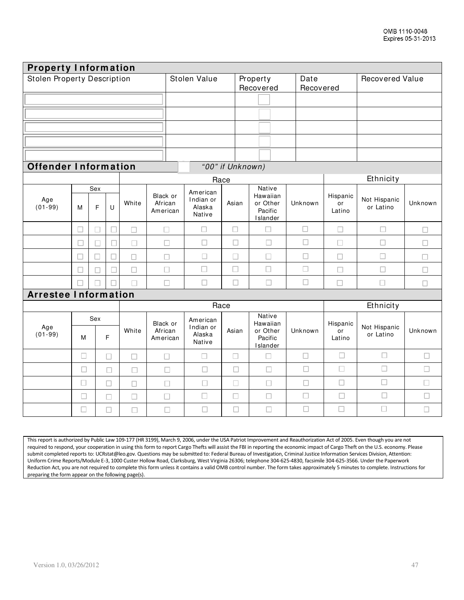| <b>Property Information</b>        |        |          |        |        |                                 |                                           |        |                                                              |         |                          |                           |         |
|------------------------------------|--------|----------|--------|--------|---------------------------------|-------------------------------------------|--------|--------------------------------------------------------------|---------|--------------------------|---------------------------|---------|
| <b>Stolen Property Description</b> |        |          |        |        | Stolen Value                    |                                           |        | Date<br>Property<br>Recovered<br>Recovered                   |         | <b>Recovered Value</b>   |                           |         |
|                                    |        |          |        |        |                                 |                                           |        |                                                              |         |                          |                           |         |
|                                    |        |          |        |        |                                 |                                           |        |                                                              |         |                          |                           |         |
|                                    |        |          |        |        |                                 |                                           |        |                                                              |         |                          |                           |         |
|                                    |        |          |        |        |                                 |                                           |        |                                                              |         |                          |                           |         |
|                                    |        |          |        |        |                                 |                                           |        |                                                              |         |                          |                           |         |
| <b>Offender Information</b>        |        |          |        |        |                                 |                                           |        | "00" if Unknown)                                             |         |                          |                           |         |
|                                    |        |          |        |        |                                 | Race                                      |        |                                                              |         |                          | Ethnicity                 |         |
| Age<br>$(01-99)$                   | M      | Sex<br>F | $\cup$ | White  | Black or<br>African<br>American | American<br>Indian or<br>Alaska<br>Native | Asian  | <b>Native</b><br>Hawaiian<br>or Other<br>Pacific<br>Islander | Unknown | Hispanic<br>or<br>Latino | Not Hispanic<br>or Latino | Unknown |
|                                    | П      | П        | П      | П      | $\Box$                          | П                                         | $\Box$ | С                                                            | $\Box$  | $\Box$                   | $\Box$                    | □       |
|                                    | □      | П        | П      | П      | $\Box$                          | $\Box$                                    | $\Box$ | $\Box$                                                       | □       | $\Box$                   | $\Box$                    | $\Box$  |
|                                    | ш      | H        |        | □      | $\Box$                          | □                                         | □      | □                                                            | $\Box$  | □                        | $\Box$                    | П       |
|                                    | П      | $\Box$   | П      | $\Box$ | $\Box$                          | $\Box$                                    | $\Box$ | $\Box$                                                       | $\Box$  | $\Box$                   | $\Box$                    | $\Box$  |
|                                    | П      |          |        | П      | $\Box$                          | П                                         | П      | $\Box$                                                       | $\Box$  | $\Box$                   | П                         | $\Box$  |
| <b>Arrestee Information</b>        |        |          |        |        |                                 |                                           |        |                                                              |         |                          |                           |         |
|                                    |        |          |        |        |                                 | Race                                      |        |                                                              |         |                          | Ethnicity                 |         |
| Age<br>$(01-99)$                   | M      | Sex      | F      | White  | Black or<br>African<br>American | American<br>Indian or<br>Alaska<br>Native | Asian  | Native<br>Hawaiian<br>or Other<br>Pacific<br>Islander        | Unknown | Hispanic<br>or<br>Latino | Not Hispanic<br>or Latino | Unknown |
|                                    | $\Box$ |          | П      | П      | $\Box$                          | $\Box$                                    | $\Box$ | $\Box$                                                       | $\Box$  | $\Box$                   | $\Box$                    | $\Box$  |
|                                    | $\Box$ |          | $\Box$ | $\Box$ | $\Box$                          | $\Box$                                    | $\Box$ | $\Box$                                                       | $\Box$  | $\Box$                   | $\Box$                    | $\Box$  |
|                                    | П      |          | $\Box$ | $\Box$ | $\Box$                          | $\Box$                                    | $\Box$ | $\Box$                                                       | $\Box$  | П                        | $\Box$                    | $\Box$  |
|                                    | □      |          | □      | $\Box$ | $\Box$                          | $\Box$                                    | $\Box$ | $\Box$                                                       | $\Box$  | $\Box$                   | $\Box$                    | $\Box$  |
|                                    | $\Box$ |          | $\Box$ | $\Box$ | $\Box$                          | $\Box$                                    | $\Box$ | $\Box$                                                       | $\Box$  | $\Box$                   | $\Box$                    | $\Box$  |

This report is authorized by Public Law 109-177 (HR 3199), March 9, 2006, under the USA Patriot Improvement and Reauthorization Act of 2005. Even though you are not required to respond, your cooperation in using this form to report Cargo Thefts will assist the FBI in reporting the economic impact of Cargo Theft on the U.S. economy. Please submit completed reports to: UCRstat@leo.gov. Questions may be submitted to: Federal Bureau of Investigation, Criminal Justice Information Services Division, Attention: Uniform Crime Reports/Module E-3, 1000 Custer Hollow Road, Clarksburg, West Virginia 26306; telephone 304-625-4830, facsimile 304-625-3566. Under the Paperwork Reduction Act, you are not required to complete this form unless it contains a valid OMB control number. The form takes approximately 5 minutes to complete. Instructions for preparing the form appear on the following page(s).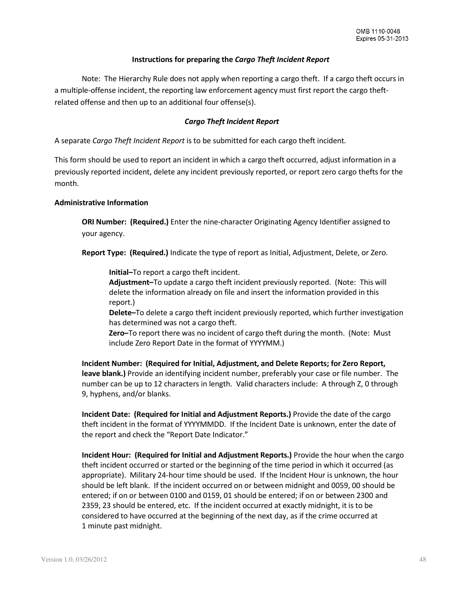#### **Instructions for preparing the** *Cargo Theft Incident Report*

Note: The Hierarchy Rule does not apply when reporting a cargo theft. If a cargo theft occurs in a multiple-offense incident, the reporting law enforcement agency must first report the cargo theftrelated offense and then up to an additional four offense(s).

#### *Cargo Theft Incident Report*

A separate *Cargo Theft Incident Report* is to be submitted for each cargo theft incident*.*

This form should be used to report an incident in which a cargo theft occurred, adjust information in a previously reported incident, delete any incident previously reported, or report zero cargo thefts for the month.

#### **Administrative Information**

**ORI Number: (Required.)** Enter the nine-character Originating Agency Identifier assigned to your agency.

**Report Type: (Required.)** Indicate the type of report as Initial, Adjustment, Delete, or Zero.

**Initial–**To report a cargo theft incident.

**Adjustment–**To update a cargo theft incident previously reported. (Note: This will delete the information already on file and insert the information provided in this report.)

**Delete–**To delete a cargo theft incident previously reported, which further investigation has determined was not a cargo theft.

**Zero–**To report there was no incident of cargo theft during the month. (Note: Must include Zero Report Date in the format of YYYYMM.)

**Incident Number: (Required for Initial, Adjustment, and Delete Reports; for Zero Report, leave blank.)** Provide an identifying incident number, preferably your case or file number. The number can be up to 12 characters in length. Valid characters include: A through Z, 0 through 9, hyphens, and/or blanks.

**Incident Date: (Required for Initial and Adjustment Reports.)** Provide the date of the cargo theft incident in the format of YYYYMMDD. If the Incident Date is unknown, enter the date of the report and check the "Report Date Indicator."

**Incident Hour: (Required for Initial and Adjustment Reports.)** Provide the hour when the cargo theft incident occurred or started or the beginning of the time period in which it occurred (as appropriate). Military 24-hour time should be used. If the Incident Hour is unknown, the hour should be left blank. If the incident occurred on or between midnight and 0059, 00 should be entered; if on or between 0100 and 0159, 01 should be entered; if on or between 2300 and 2359, 23 should be entered, etc. If the incident occurred at exactly midnight, it is to be considered to have occurred at the beginning of the next day, as if the crime occurred at 1 minute past midnight.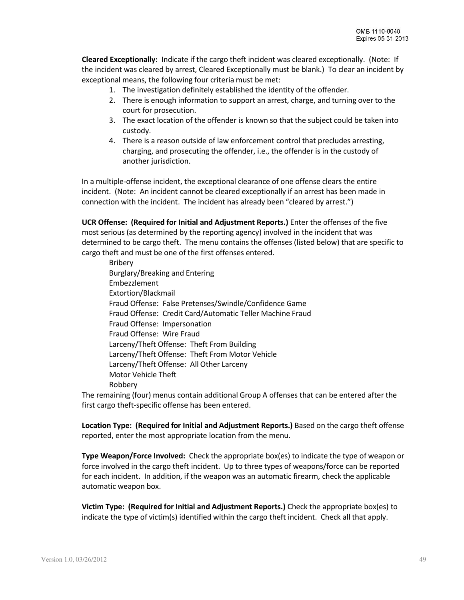**Cleared Exceptionally:** Indicate if the cargo theft incident was cleared exceptionally. (Note: If the incident was cleared by arrest, Cleared Exceptionally must be blank.) To clear an incident by exceptional means, the following four criteria must be met:

- 1. The investigation definitely established the identity of the offender.
- 2. There is enough information to support an arrest, charge, and turning over to the court for prosecution.
- 3. The exact location of the offender is known so that the subject could be taken into custody.
- 4. There is a reason outside of law enforcement control that precludes arresting, charging, and prosecuting the offender, i.e., the offender is in the custody of another jurisdiction.

In a multiple-offense incident, the exceptional clearance of one offense clears the entire incident. (Note: An incident cannot be cleared exceptionally if an arrest has been made in connection with the incident. The incident has already been "cleared by arrest.")

**UCR Offense: (Required for Initial and Adjustment Reports.)** Enter the offenses of the five most serious (as determined by the reporting agency) involved in the incident that was determined to be cargo theft. The menu contains the offenses (listed below) that are specific to cargo theft and must be one of the first offenses entered.

Bribery Burglary/Breaking and Entering Embezzlement Extortion/Blackmail Fraud Offense: False Pretenses/Swindle/Confidence Game Fraud Offense: Credit Card/Automatic Teller Machine Fraud Fraud Offense: Impersonation Fraud Offense: Wire Fraud Larceny/Theft Offense: Theft From Building Larceny/Theft Offense: Theft From Motor Vehicle Larceny/Theft Offense: All Other Larceny Motor Vehicle Theft Robbery

The remaining (four) menus contain additional Group A offenses that can be entered after the first cargo theft-specific offense has been entered.

**Location Type: (Required for Initial and Adjustment Reports.)** Based on the cargo theft offense reported, enter the most appropriate location from the menu.

**Type Weapon/Force Involved:** Check the appropriate box(es) to indicate the type of weapon or force involved in the cargo theft incident. Up to three types of weapons/force can be reported for each incident. In addition, if the weapon was an automatic firearm, check the applicable automatic weapon box.

**Victim Type: (Required for Initial and Adjustment Reports.)** Check the appropriate box(es) to indicate the type of victim(s) identified within the cargo theft incident. Check all that apply.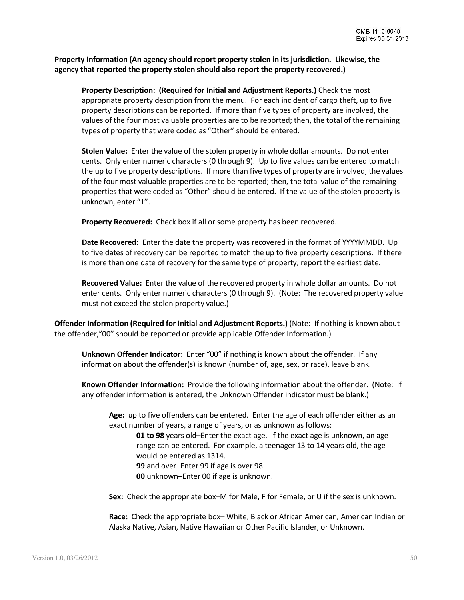**Property Information (An agency should report property stolen in its jurisdiction. Likewise, the agency that reported the property stolen should also report the property recovered.)**

**Property Description: (Required for Initial and Adjustment Reports.)** Check the most appropriate property description from the menu. For each incident of cargo theft, up to five property descriptions can be reported. If more than five types of property are involved, the values of the four most valuable properties are to be reported; then, the total of the remaining types of property that were coded as "Other" should be entered.

**Stolen Value:** Enter the value of the stolen property in whole dollar amounts. Do not enter cents. Only enter numeric characters (0 through 9). Up to five values can be entered to match the up to five property descriptions. If more than five types of property are involved, the values of the four most valuable properties are to be reported; then, the total value of the remaining properties that were coded as "Other" should be entered. If the value of the stolen property is unknown, enter "1".

**Property Recovered:** Check box if all or some property has been recovered.

**Date Recovered:** Enter the date the property was recovered in the format of YYYYMMDD. Up to five dates of recovery can be reported to match the up to five property descriptions. If there is more than one date of recovery for the same type of property, report the earliest date.

**Recovered Value:** Enter the value of the recovered property in whole dollar amounts. Do not enter cents. Only enter numeric characters (0 through 9). (Note: The recovered property value must not exceed the stolen property value.)

**Offender Information (Required for Initial and Adjustment Reports.)** (Note: If nothing is known about the offender,"00" should be reported or provide applicable Offender Information.)

**Unknown Offender Indicator:** Enter "00" if nothing is known about the offender. If any information about the offender(s) is known (number of, age, sex, or race), leave blank.

**Known Offender Information:** Provide the following information about the offender. (Note: If any offender information is entered, the Unknown Offender indicator must be blank.)

**Age:** up to five offenders can be entered. Enter the age of each offender either as an exact number of years, a range of years, or as unknown as follows:

**01 to 98** years old–Enter the exact age. If the exact age is unknown, an age range can be entered. For example, a teenager 13 to 14 years old, the age would be entered as 1314. **99** and over–Enter 99 if age is over 98.

**00** unknown–Enter 00 if age is unknown.

**Sex:** Check the appropriate box–M for Male, F for Female, or U if the sex is unknown.

**Race:** Check the appropriate box– White, Black or African American, American Indian or Alaska Native, Asian, Native Hawaiian or Other Pacific Islander, or Unknown.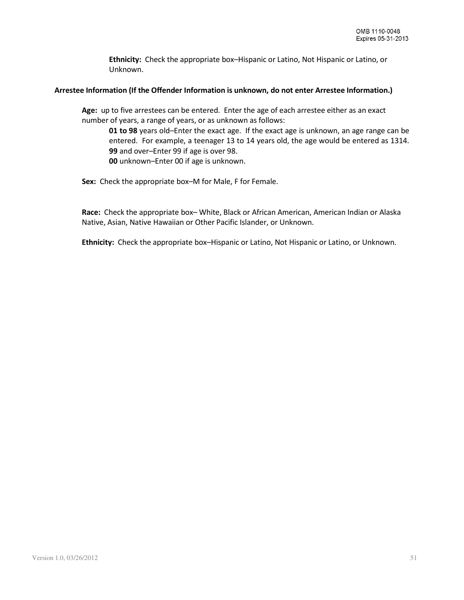**Ethnicity:** Check the appropriate box–Hispanic or Latino, Not Hispanic or Latino, or Unknown.

#### **Arrestee Information (If the Offender Information is unknown, do not enter Arrestee Information.)**

**Age:** up to five arrestees can be entered. Enter the age of each arrestee either as an exact number of years, a range of years, or as unknown as follows:

**01 to 98** years old–Enter the exact age. If the exact age is unknown, an age range can be entered. For example, a teenager 13 to 14 years old, the age would be entered as 1314. **99** and over–Enter 99 if age is over 98.

**00** unknown–Enter 00 if age is unknown.

**Sex:** Check the appropriate box–M for Male, F for Female.

**Race:** Check the appropriate box– White, Black or African American, American Indian or Alaska Native, Asian, Native Hawaiian or Other Pacific Islander, or Unknown.

**Ethnicity:** Check the appropriate box–Hispanic or Latino, Not Hispanic or Latino, or Unknown.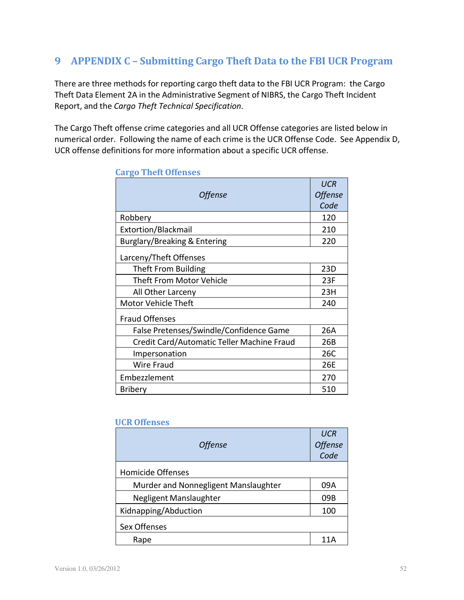# **9 APPENDIX C – Submitting Cargo Theft Data to the FBI UCR Program**

There are three methods for reporting cargo theft data to the FBI UCR Program: the Cargo Theft Data Element 2A in the Administrative Segment of NIBRS, the Cargo Theft Incident Report, and the *Cargo Theft Technical Specification*.

The Cargo Theft offense crime categories and all UCR Offense categories are listed below in numerical order. Following the name of each crime is the UCR Offense Code. See Appendix D, UCR offense definitions for more information about a specific UCR offense.

| <b>Offense</b>                             | <b>UCR</b><br><b>Offense</b><br>Code |
|--------------------------------------------|--------------------------------------|
| Robbery                                    | 120                                  |
| Extortion/Blackmail                        | 210                                  |
| Burglary/Breaking & Entering               | 220                                  |
| Larceny/Theft Offenses                     |                                      |
| Theft From Building                        | 23D                                  |
| <b>Theft From Motor Vehicle</b>            | 23F                                  |
| All Other Larceny                          | 23H                                  |
| <b>Motor Vehicle Theft</b>                 | 240                                  |
| <b>Fraud Offenses</b>                      |                                      |
| False Pretenses/Swindle/Confidence Game    | 26A                                  |
| Credit Card/Automatic Teller Machine Fraud | 26B                                  |
| Impersonation                              | 26C                                  |
| Wire Fraud                                 | 26E                                  |
| Embezzlement                               | 270                                  |
| <b>Bribery</b>                             | 510                                  |

## **Cargo Theft Offenses**

#### **UCR Offenses**

| <b>Offense</b>                       | <b>UCR</b><br><b>Offense</b><br>Code |
|--------------------------------------|--------------------------------------|
| Homicide Offenses                    |                                      |
| Murder and Nonnegligent Manslaughter | 09A                                  |
| Negligent Manslaughter               | 09B                                  |
| Kidnapping/Abduction                 | 100                                  |
| Sex Offenses                         |                                      |
| Rape                                 |                                      |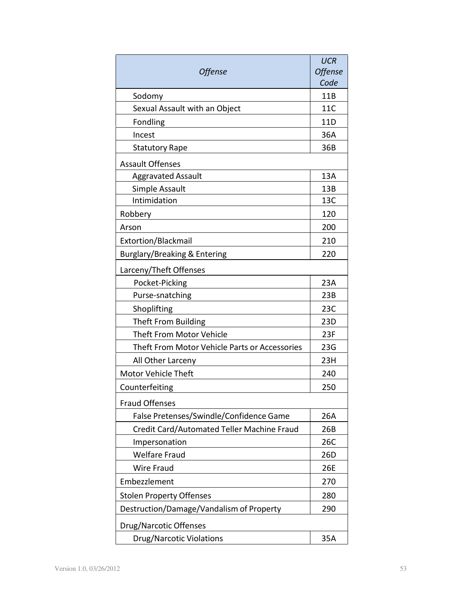| <b>Offense</b>                                | <b>UCR</b><br><b>Offense</b> |
|-----------------------------------------------|------------------------------|
|                                               | Code                         |
| Sodomy                                        | 11B                          |
| Sexual Assault with an Object                 | 11C                          |
| Fondling                                      | 11D                          |
| Incest                                        | 36A                          |
| <b>Statutory Rape</b>                         | 36B                          |
| <b>Assault Offenses</b>                       |                              |
| <b>Aggravated Assault</b>                     | 13A                          |
| Simple Assault                                | 13B                          |
| Intimidation                                  | 13C                          |
| Robbery                                       | 120                          |
| Arson                                         | 200                          |
| Extortion/Blackmail                           | 210                          |
| Burglary/Breaking & Entering                  | 220                          |
| Larceny/Theft Offenses                        |                              |
| Pocket-Picking                                | 23A                          |
| Purse-snatching                               | 23B                          |
| Shoplifting                                   | 23C                          |
| <b>Theft From Building</b>                    | 23D                          |
| <b>Theft From Motor Vehicle</b>               | 23F                          |
| Theft From Motor Vehicle Parts or Accessories | 23G                          |
| All Other Larceny                             | 23H                          |
| <b>Motor Vehicle Theft</b>                    | 240                          |
| Counterfeiting                                | 250                          |
| <b>Fraud Offenses</b>                         |                              |
| False Pretenses/Swindle/Confidence Game       | 26A                          |
| Credit Card/Automated Teller Machine Fraud    | 26B                          |
| Impersonation                                 | 26C                          |
| <b>Welfare Fraud</b>                          | 26D                          |
| <b>Wire Fraud</b>                             | 26E                          |
| Embezzlement                                  | 270                          |
| <b>Stolen Property Offenses</b>               | 280                          |
| Destruction/Damage/Vandalism of Property      | 290                          |
| Drug/Narcotic Offenses                        |                              |
| <b>Drug/Narcotic Violations</b>               | 35A                          |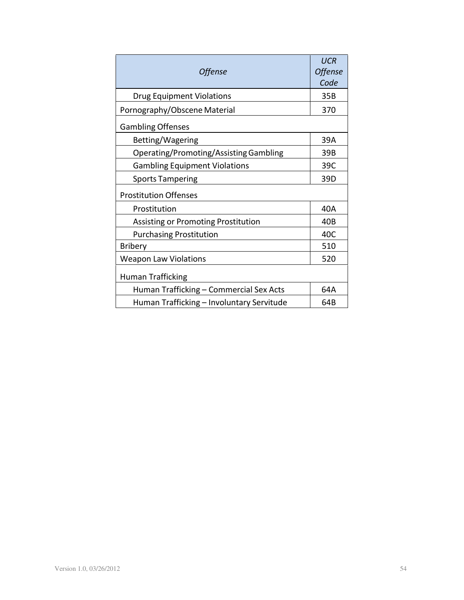| <b>Offense</b>                            | <b>UCR</b><br><b>Offense</b><br>Code |
|-------------------------------------------|--------------------------------------|
| <b>Drug Equipment Violations</b>          | 35B                                  |
| Pornography/Obscene Material              | 370                                  |
| <b>Gambling Offenses</b>                  |                                      |
| Betting/Wagering                          | 39A                                  |
| Operating/Promoting/Assisting Gambling    | 39B                                  |
| <b>Gambling Equipment Violations</b>      | 39C                                  |
| <b>Sports Tampering</b>                   | 39D                                  |
| <b>Prostitution Offenses</b>              |                                      |
| Prostitution                              | 40A                                  |
| Assisting or Promoting Prostitution       | 40 <sub>B</sub>                      |
| <b>Purchasing Prostitution</b>            | 40C                                  |
| <b>Bribery</b>                            | 510                                  |
| <b>Weapon Law Violations</b>              | 520                                  |
| <b>Human Trafficking</b>                  |                                      |
| Human Trafficking - Commercial Sex Acts   | 64A                                  |
| Human Trafficking - Involuntary Servitude | 64B                                  |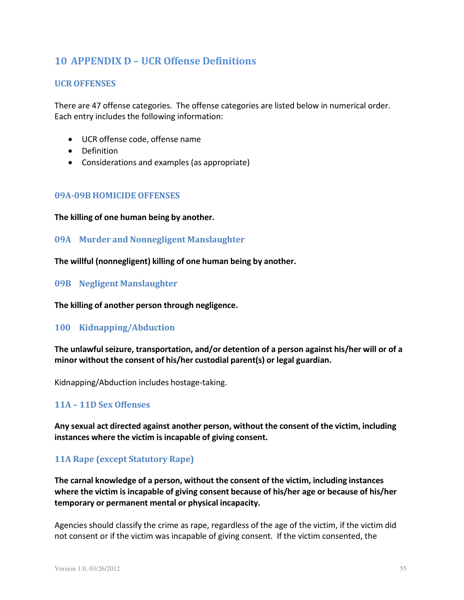# **10 APPENDIX D – UCR Offense Definitions**

# **UCR OFFENSES**

There are 47 offense categories. The offense categories are listed below in numerical order. Each entry includes the following information:

- UCR offense code, offense name
- Definition
- Considerations and examples (as appropriate)

## **09A-09B HOMICIDE OFFENSES**

**The killing of one human being by another.**

## **09A Murder and Nonnegligent Manslaughter**

**The willful (nonnegligent) killing of one human being by another.**

#### **09B Negligent Manslaughter**

**The killing of another person through negligence.**

#### **100 Kidnapping/Abduction**

**The unlawful seizure, transportation, and/or detention of a person against his/her will or of a minor without the consent of his/her custodial parent(s) or legal guardian.**

Kidnapping/Abduction includes hostage-taking.

# **11A – 11D Sex Offenses**

**Any sexual act directed against another person, without the consent of the victim, including instances where the victim is incapable of giving consent.**

# **11A Rape (except Statutory Rape)**

**The carnal knowledge of a person, without the consent of the victim, including instances where the victim is incapable of giving consent because of his/her age or because of his/her temporary or permanent mental or physical incapacity.**

Agencies should classify the crime as rape, regardless of the age of the victim, if the victim did not consent or if the victim was incapable of giving consent. If the victim consented, the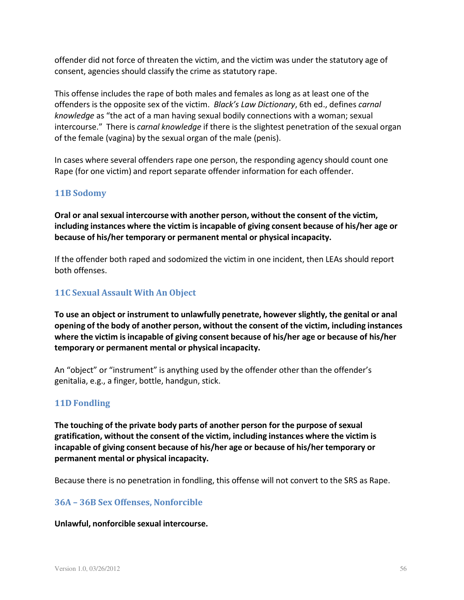offender did not force of threaten the victim, and the victim was under the statutory age of consent, agencies should classify the crime as statutory rape.

This offense includes the rape of both males and females as long as at least one of the offenders is the opposite sex of the victim. *Black's Law Dictionary*, 6th ed., defines *carnal knowledge* as "the act of a man having sexual bodily connections with a woman; sexual intercourse." There is *carnal knowledge* if there is the slightest penetration of the sexual organ of the female (vagina) by the sexual organ of the male (penis).

In cases where several offenders rape one person, the responding agency should count one Rape (for one victim) and report separate offender information for each offender.

# **11B Sodomy**

**Oral or anal sexual intercourse with another person, without the consent of the victim, including instances where the victim is incapable of giving consent because of his/her age or because of his/her temporary or permanent mental or physical incapacity.**

If the offender both raped and sodomized the victim in one incident, then LEAs should report both offenses.

# **11C Sexual Assault With An Object**

**To use an object or instrument to unlawfully penetrate, however slightly, the genital or anal opening of the body of another person, without the consent of the victim, including instances where the victim isincapable of giving consent because of his/her age or because of his/her temporary or permanent mental or physical incapacity.**

An "object" or "instrument" is anything used by the offender other than the offender's genitalia, e.g., a finger, bottle, handgun, stick.

# **11D Fondling**

**The touching of the private body parts of another person for the purpose of sexual gratification, without the consent of the victim, including instances where the victim is incapable of giving consent because of his/her age or because of his/her temporary or permanent mental or physical incapacity.**

Because there is no penetration in fondling, this offense will not convert to the SRS as Rape.

# **36A – 36B Sex Offenses, Nonforcible**

#### **Unlawful, nonforcible sexual intercourse.**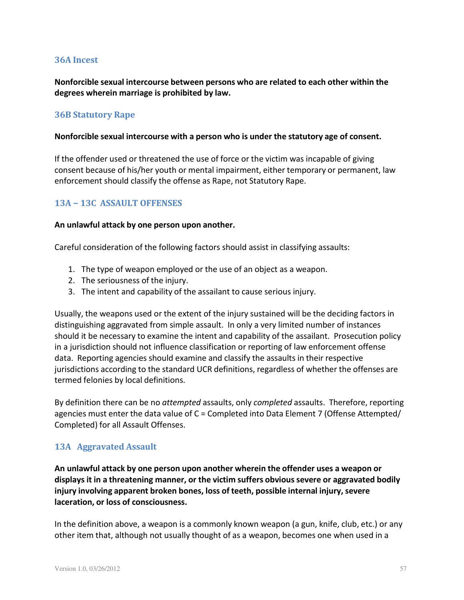## **36A Incest**

**Nonforcible sexual intercourse between persons who are related to each other within the degrees wherein marriage is prohibited by law.**

#### **36B Statutory Rape**

#### **Nonforcible sexual intercourse with a person who is under the statutory age of consent.**

If the offender used or threatened the use of force or the victim was incapable of giving consent because of his/her youth or mental impairment, either temporary or permanent, law enforcement should classify the offense as Rape, not Statutory Rape.

## **13A − 13C ASSAULT OFFENSES**

#### **An unlawful attack by one person upon another.**

Careful consideration of the following factors should assist in classifying assaults:

- 1. The type of weapon employed or the use of an object as a weapon.
- 2. The seriousness of the injury.
- 3. The intent and capability of the assailant to cause serious injury.

Usually, the weapons used or the extent of the injury sustained will be the deciding factors in distinguishing aggravated from simple assault. In only a very limited number of instances should it be necessary to examine the intent and capability of the assailant. Prosecution policy in a jurisdiction should not influence classification or reporting of law enforcement offense data. Reporting agencies should examine and classify the assaults in their respective jurisdictions according to the standard UCR definitions, regardless of whether the offenses are termed felonies by local definitions.

By definition there can be no *attempted* assaults, only *completed* assaults. Therefore, reporting agencies must enter the data value of  $C =$  Completed into Data Element 7 (Offense Attempted/ Completed) for all Assault Offenses.

#### **13A Aggravated Assault**

**An unlawful attack by one person upon another wherein the offender uses a weapon or displays it in a threatening manner, or the victim suffers obvious severe or aggravated bodily injury involving apparent broken bones, loss of teeth, possible internal injury, severe laceration, or loss of consciousness.**

In the definition above, a weapon is a commonly known weapon (a gun, knife, club, etc.) or any other item that, although not usually thought of as a weapon, becomes one when used in a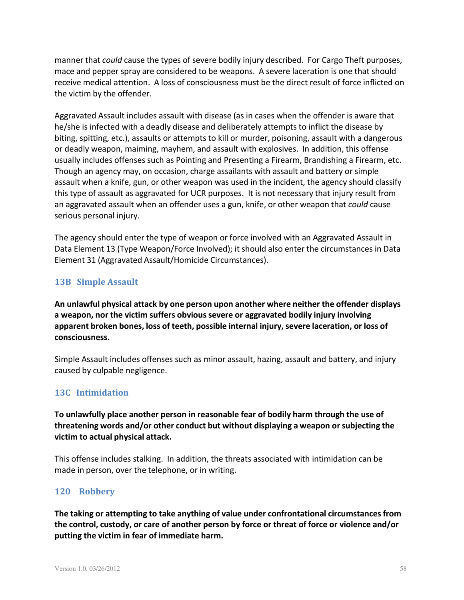manner that *could* cause the types of severe bodily injury described. For Cargo Theft purposes, mace and pepper spray are considered to be weapons. A severe laceration is one that should receive medical attention. A loss of consciousness must be the direct result of force inflicted on the victim by the offender.

Aggravated Assault includes assault with disease (as in cases when the offender is aware that he/she is infected with a deadly disease and deliberately attempts to inflict the disease by biting, spitting, etc.), assaults or attempts to kill or murder, poisoning, assault with a dangerous or deadly weapon, maiming, mayhem, and assault with explosives. In addition, this offense usually includes offenses such as Pointing and Presenting a Firearm, Brandishing a Firearm, etc. Though an agency may, on occasion, charge assailants with assault and battery or simple assault when a knife, gun, or other weapon was used in the incident, the agency should classify this type of assault as aggravated for UCR purposes. It is not necessary that injury result from an aggravated assault when an offender uses a gun, knife, or other weapon that *could* cause serious personal injury.

The agency should enter the type of weapon or force involved with an Aggravated Assault in Data Element 13 (Type Weapon/Force Involved); it should also enter the circumstances in Data Element 31 (Aggravated Assault/Homicide Circumstances).

## **13B Simple Assault**

**An unlawful physical attack by one person upon another where neither the offender displays a weapon, nor the victim suffers obvious severe or aggravated bodily injury involving apparent broken bones, loss of teeth, possible internal injury, severe laceration, or loss of consciousness.**

Simple Assault includes offenses such as minor assault, hazing, assault and battery, and injury caused by culpable negligence.

# **13C Intimidation**

**To unlawfully place another person in reasonable fear of bodily harm through the use of threatening words and/or other conduct but without displaying a weapon orsubjecting the victim to actual physical attack.**

This offense includes stalking. In addition, the threats associated with intimidation can be made in person, over the telephone, or in writing.

#### **120 Robbery**

**The taking or attempting to take anything of value under confrontational circumstances from the control, custody, or care of another person by force or threat of force or violence and/or putting the victim in fear of immediate harm.**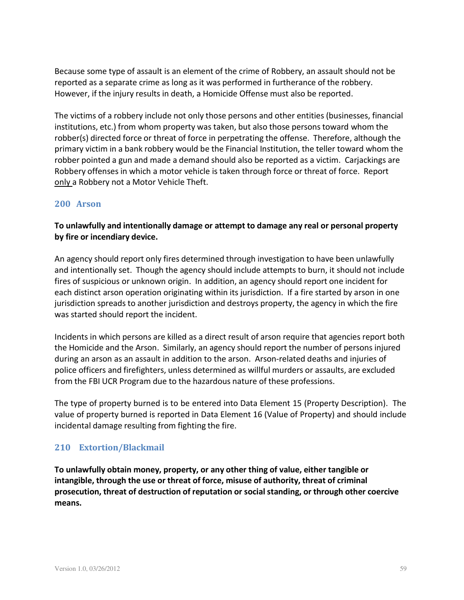Because some type of assault is an element of the crime of Robbery, an assault should not be reported as a separate crime as long as it was performed in furtherance of the robbery. However, if the injury results in death, a Homicide Offense must also be reported.

The victims of a robbery include not only those persons and other entities (businesses, financial institutions, etc.) from whom property was taken, but also those personstoward whom the robber(s) directed force or threat of force in perpetrating the offense. Therefore, although the primary victim in a bank robbery would be the Financial Institution, the teller toward whom the robber pointed a gun and made a demand should also be reported as a victim. Carjackings are Robbery offenses in which a motor vehicle is taken through force or threat of force. Report only a Robbery not a Motor Vehicle Theft.

# **200 Arson**

# **To unlawfully and intentionally damage or attempt to damage any real or personal property by fire or incendiary device.**

An agency should report only fires determined through investigation to have been unlawfully and intentionally set. Though the agency should include attempts to burn, it should not include fires of suspicious or unknown origin. In addition, an agency should report one incident for each distinct arson operation originating within its jurisdiction. If a fire started by arson in one jurisdiction spreads to another jurisdiction and destroys property, the agency in which the fire was started should report the incident.

Incidents in which persons are killed as a direct result of arson require that agencies report both the Homicide and the Arson. Similarly, an agency should report the number of persons injured during an arson as an assault in addition to the arson. Arson-related deaths and injuries of police officers and firefighters, unless determined as willful murders or assaults, are excluded from the FBI UCR Program due to the hazardous nature of these professions.

The type of property burned is to be entered into Data Element 15 (Property Description). The value of property burned is reported in Data Element 16 (Value of Property) and should include incidental damage resulting from fighting the fire.

# **210 Extortion/Blackmail**

**To unlawfully obtain money, property, or any other thing of value, either tangible or intangible, through the use or threat of force, misuse of authority, threat of criminal prosecution, threat of destruction of reputation or social standing, or through other coercive means.**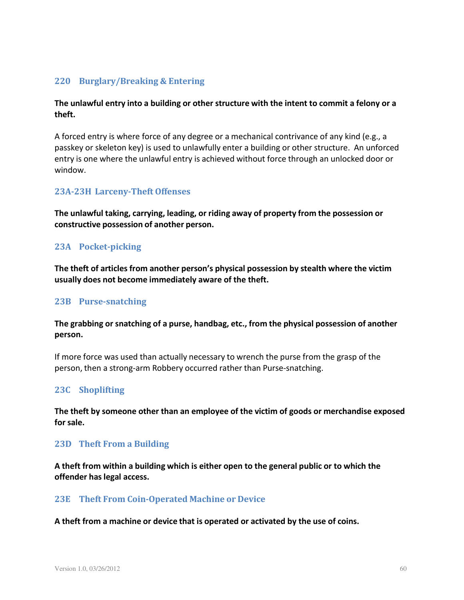# **220 Burglary/Breaking & Entering**

# **The unlawful entry into a building or other structure with the intent to commit a felony or a theft.**

A forced entry is where force of any degree or a mechanical contrivance of any kind (e.g., a passkey or skeleton key) is used to unlawfully enter a building or other structure. An unforced entry is one where the unlawful entry is achieved without force through an unlocked door or window.

## **23A-23H Larceny-Theft Offenses**

**The unlawful taking, carrying, leading, or riding away of property from the possession or constructive possession of another person.**

# **23A Pocket-picking**

**The theft of articles from another person's physical possession by stealth where the victim usually does not become immediately aware of the theft.**

#### **23B Purse-snatching**

**The grabbing or snatching of a purse, handbag, etc., from the physical possession of another person.**

If more force was used than actually necessary to wrench the purse from the grasp of the person, then a strong-arm Robbery occurred rather than Purse-snatching.

# **23C Shoplifting**

**The theft by someone other than an employee of the victim of goods or merchandise exposed for sale.**

#### **23D Theft From a Building**

**A theft from within a building which is either open to the general public or to which the offender haslegal access.**

#### **23E Theft From Coin-Operated Machine or Device**

**A theft from a machine or device that is operated or activated by the use of coins.**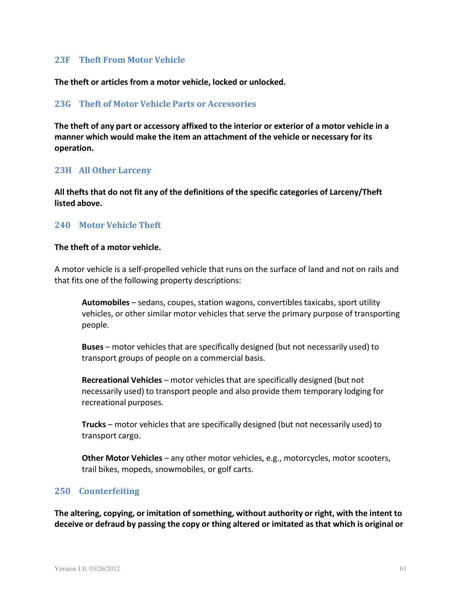#### **23F Theft From Motor Vehicle**

**The theft or articles from a motor vehicle, locked or unlocked.**

#### **23G Theft of Motor Vehicle Parts or Accessories**

**The theft of any part or accessory affixed to the interior or exterior of a motor vehicle in a manner which would make the item an attachment of the vehicle or necessary for its operation.**

#### **23H All Other Larceny**

**All thefts that do not fit any of the definitions of the specific categories of Larceny/Theft listed above.**

#### **240 Motor Vehicle Theft**

#### **The theft of a motor vehicle.**

A motor vehicle is a self-propelled vehicle that runs on the surface of land and not on rails and that fits one of the following property descriptions:

Automobiles - sedans, coupes, station wagons, convertibles taxicabs, sport utility vehicles, or other similar motor vehicles that serve the primary purpose of transporting people.

**Buses** – motor vehicles that are specifically designed (but not necessarily used) to transport groups of people on a commercial basis.

**Recreational Vehicles** – motor vehicles that are specifically designed (but not necessarily used) to transport people and also provide them temporary lodging for recreational purposes.

**Trucks** – motor vehicles that are specifically designed (but not necessarily used) to transport cargo.

**Other Motor Vehicles** – any other motor vehicles, e.g., motorcycles, motor scooters, trail bikes, mopeds, snowmobiles, or golf carts.

#### **250 Counterfeiting**

**The altering, copying, or imitation of something, without authority or right, with the intent to deceive or defraud by passing the copy or thing altered or imitated asthat which is original or**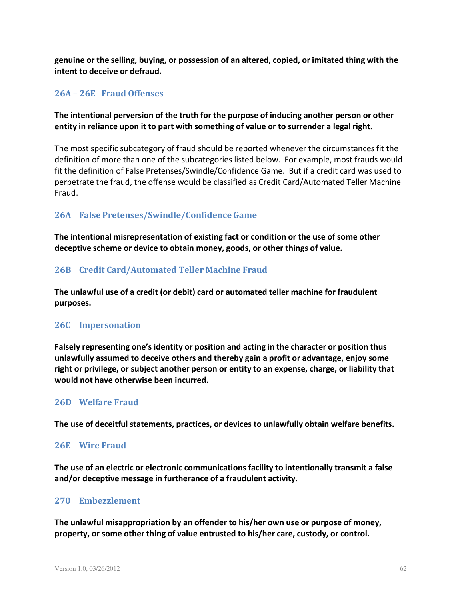**genuine or the selling, buying, or possession of an altered, copied, or imitated thing with the intent to deceive or defraud.**

## **26A – 26E Fraud Offenses**

# **The intentional perversion of the truth for the purpose of inducing another person or other entity in reliance upon it to part with something of value or to surrender a legal right.**

The most specific subcategory of fraud should be reported whenever the circumstancesfit the definition of more than one of the subcategories listed below. For example, most frauds would fit the definition of False Pretenses/Swindle/Confidence Game. But if a credit card was used to perpetrate the fraud, the offense would be classified as Credit Card/Automated Teller Machine Fraud.

# **26A False Pretenses/Swindle/Confidence Game**

**The intentional misrepresentation of existing fact or condition or the use of some other deceptive scheme or device to obtain money, goods, or other things of value.**

## **26B Credit Card/Automated Teller Machine Fraud**

**The unlawful use of a credit (or debit) card or automated teller machine for fraudulent purposes.**

#### **26C Impersonation**

**Falsely representing one's identity or position and acting in the character or position thus unlawfully assumed to deceive others and thereby gain a profit or advantage, enjoy some right or privilege, or subject another person or entity to an expense, charge, or liability that would not have otherwise been incurred.**

#### **26D Welfare Fraud**

**The use of deceitful statements, practices, or devices to unlawfully obtain welfare benefits.**

#### **26E Wire Fraud**

**The use of an electric or electronic communications facility to intentionally transmit a false and/or deceptive message in furtherance of a fraudulent activity.**

#### **270 Embezzlement**

**The unlawful misappropriation by an offender to his/her own use or purpose of money, property, or some other thing of value entrusted to his/her care, custody, or control.**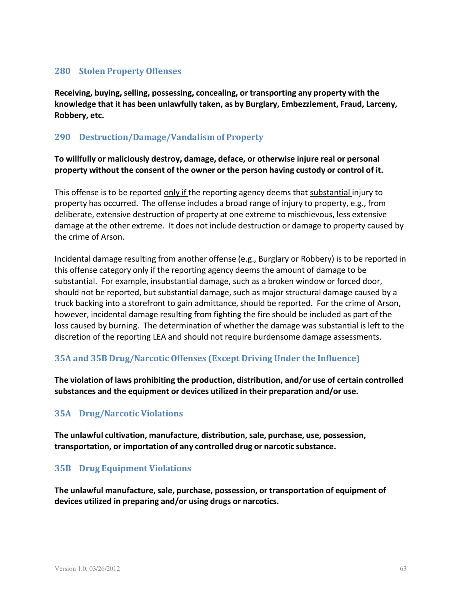# **280 Stolen Property Offenses**

**Receiving, buying,selling, possessing, concealing, or transporting any property with the knowledge that it has been unlawfully taken, as by Burglary, Embezzlement, Fraud, Larceny, Robbery, etc.**

# **290 Destruction/Damage/Vandalism of Property**

**To willfully or maliciously destroy, damage, deface, or otherwise injure real or personal property without the consent of the owner or the person having custody or control of it.**

This offense is to be reported only if the reporting agency deems that substantial injury to property has occurred. The offense includes a broad range of injury to property, e.g., from deliberate, extensive destruction of property at one extreme to mischievous, less extensive damage at the other extreme. It does not include destruction or damage to property caused by the crime of Arson.

Incidental damage resulting from another offense (e.g., Burglary or Robbery) is to be reported in this offense category only if the reporting agency deems the amount of damage to be substantial. For example, insubstantial damage, such as a broken window or forced door, should not be reported, but substantial damage, such as major structural damage caused by a truck backing into a storefront to gain admittance, should be reported. For the crime of Arson, however, incidental damage resulting from fighting the fire should be included as part of the loss caused by burning. The determination of whether the damage was substantial is left to the discretion of the reporting LEA and should not require burdensome damage assessments.

# **35A and 35B Drug/Narcotic Offenses (Except Driving Under the Influence)**

**The violation of laws prohibiting the production, distribution, and/or use of certain controlled substances and the equipment or devices utilized in their preparation and/or use.**

# **35A Drug/Narcotic Violations**

**The unlawful cultivation, manufacture, distribution, sale, purchase, use, possession, transportation, or importation of any controlled drug or narcotic substance.**

# **35B Drug Equipment Violations**

**The unlawful manufacture, sale, purchase, possession, or transportation of equipment of devices utilized in preparing and/or using drugs or narcotics.**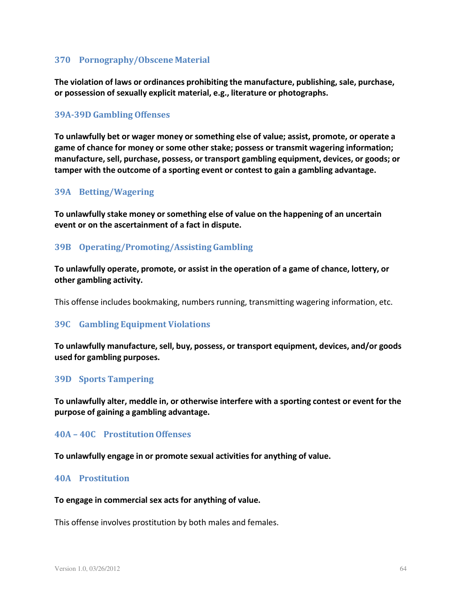# **370 Pornography/Obscene Material**

**The violation of laws or ordinances prohibiting the manufacture, publishing, sale, purchase, or possession of sexually explicit material, e.g., literature or photographs.**

#### **39A-39D Gambling Offenses**

**To unlawfully bet or wager money or something else of value; assist, promote, or operate a game of chance for money or some other stake; possess or transmit wagering information; manufacture, sell, purchase, possess, or transport gambling equipment, devices, or goods; or tamper with the outcome of a sporting event or contest to gain a gambling advantage.**

#### **39A Betting/Wagering**

**To unlawfully stake money or something else of value on the happening of an uncertain event or on the ascertainment of a fact in dispute.**

## **39B Operating/Promoting/Assisting Gambling**

**To unlawfully operate, promote, or assist in the operation of a game of chance, lottery, or other gambling activity.**

This offense includes bookmaking, numbers running, transmitting wagering information, etc.

#### **39C Gambling Equipment Violations**

**To unlawfully manufacture, sell, buy, possess, or transport equipment, devices, and/or goods used for gambling purposes.**

#### **39D Sports Tampering**

**To unlawfully alter, meddle in, or otherwise interfere with a sporting contest or event for the purpose of gaining a gambling advantage.**

#### **40A – 40C ProstitutionOffenses**

**To unlawfully engage in or promote sexual activities for anything of value.**

#### **40A Prostitution**

#### **To engage in commercial sex acts for anything of value.**

This offense involves prostitution by both males and females.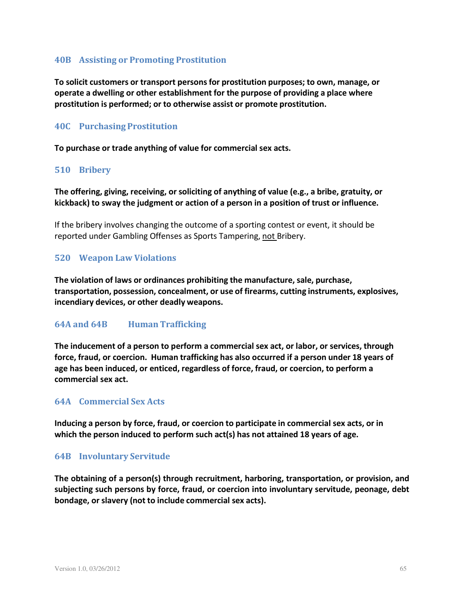# **40B Assisting or Promoting Prostitution**

**To solicit customers or transport personsfor prostitution purposes; to own, manage, or operate a dwelling or other establishment for the purpose of providing a place where prostitution is performed; or to otherwise assist or promote prostitution.**

#### **40C Purchasing Prostitution**

**To purchase or trade anything of value for commercial sex acts.**

#### **510 Bribery**

**The offering, giving, receiving, or soliciting of anything of value (e.g., a bribe, gratuity, or kickback) to sway the judgment or action of a person in a position of trust or influence.**

If the bribery involves changing the outcome of a sporting contest or event, it should be reported under Gambling Offenses as Sports Tampering, not Bribery.

#### **520 Weapon Law Violations**

**The violation of laws or ordinances prohibiting the manufacture, sale, purchase, transportation, possession, concealment, or use of firearms, cutting instruments, explosives, incendiary devices, or other deadly weapons.**

#### **64A and 64B Human Trafficking**

**The inducement of a person to perform a commercial sex act, or labor, or services, through force, fraud, or coercion. Human trafficking has also occurred if a person under 18 years of age has been induced, or enticed, regardless of force, fraud, or coercion, to perform a commercial sex act.**

#### **64A Commercial Sex Acts**

**Inducing a person by force, fraud, or coercion to participate in commercial sex acts, or in which the person induced to perform such act(s) has not attained 18 years of age.**

#### **64B Involuntary Servitude**

**The obtaining of a person(s) through recruitment, harboring, transportation, or provision, and subjecting such persons by force, fraud, or coercion into involuntary servitude, peonage, debt bondage, or slavery (not to include commercial sex acts).**